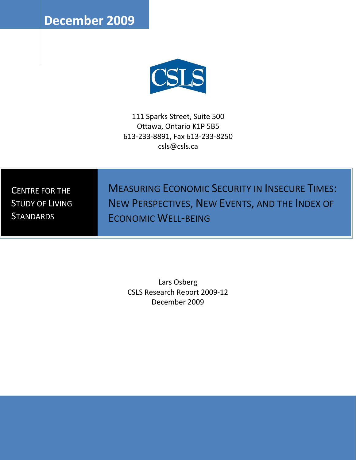**December 2009** 



111 Sparks Street, Suite 500 Ottawa, Ontario K1P 5B5 613-233-8891, Fax 613-233-8250 csls@csls.ca

CENTRE FOR THE STUDY OF LIVING **STANDARDS** 

MEASURING ECONOMIC SECURITY IN INSECURE TIMES: NEW PERSPECTIVES, NEW EVENTS, AND THE INDEX OF ECONOMIC WELL-BEING

Lars Osberg CSLS Research Report 2009-12 December 2009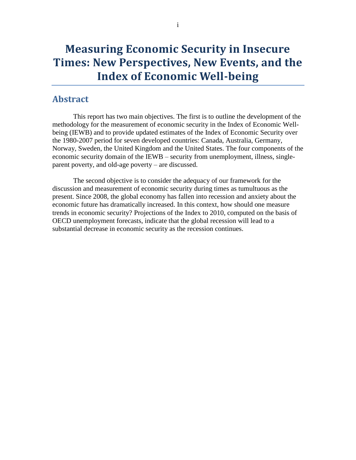## <span id="page-1-0"></span>**Abstract**

This report has two main objectives. The first is to outline the development of the methodology for the measurement of economic security in the Index of Economic Wellbeing (IEWB) and to provide updated estimates of the Index of Economic Security over the 1980-2007 period for seven developed countries: Canada, Australia, Germany, Norway, Sweden, the United Kingdom and the United States. The four components of the economic security domain of the IEWB – security from unemployment, illness, singleparent poverty, and old-age poverty – are discussed.

The second objective is to consider the adequacy of our framework for the discussion and measurement of economic security during times as tumultuous as the present. Since 2008, the global economy has fallen into recession and anxiety about the economic future has dramatically increased. In this context, how should one measure trends in economic security? Projections of the Index to 2010, computed on the basis of OECD unemployment forecasts, indicate that the global recession will lead to a substantial decrease in economic security as the recession continues.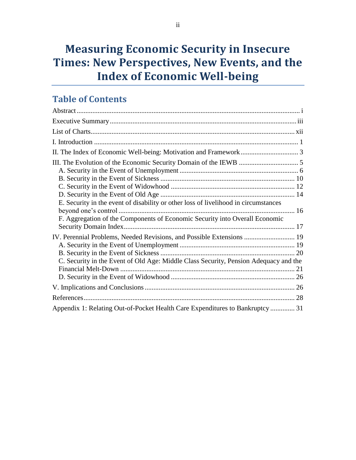# **Table of Contents**

| E. Security in the event of disability or other loss of livelihood in circumstances  |  |
|--------------------------------------------------------------------------------------|--|
|                                                                                      |  |
| F. Aggregation of the Components of Economic Security into Overall Economic          |  |
|                                                                                      |  |
| IV. Perennial Problems, Needed Revisions, and Possible Extensions  19                |  |
|                                                                                      |  |
|                                                                                      |  |
| C. Security in the Event of Old Age: Middle Class Security, Pension Adequacy and the |  |
|                                                                                      |  |
|                                                                                      |  |
|                                                                                      |  |
|                                                                                      |  |
| Appendix 1: Relating Out-of-Pocket Health Care Expenditures to Bankruptcy  31        |  |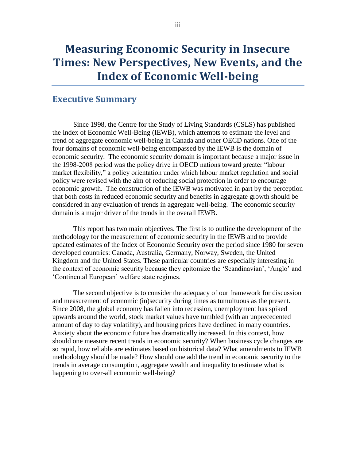## <span id="page-3-0"></span>**Executive Summary**

Since 1998, the Centre for the Study of Living Standards (CSLS) has published the Index of Economic Well-Being (IEWB), which attempts to estimate the level and trend of aggregate economic well-being in Canada and other OECD nations. One of the four domains of economic well-being encompassed by the IEWB is the domain of economic security. The economic security domain is important because a major issue in the 1998-2008 period was the policy drive in OECD nations toward greater "labour market flexibility," a policy orientation under which labour market regulation and social policy were revised with the aim of reducing social protection in order to encourage economic growth. The construction of the IEWB was motivated in part by the perception that both costs in reduced economic security and benefits in aggregate growth should be considered in any evaluation of trends in aggregate well-being. The economic security domain is a major driver of the trends in the overall IEWB.

This report has two main objectives. The first is to outline the development of the methodology for the measurement of economic security in the IEWB and to provide updated estimates of the Index of Economic Security over the period since 1980 for seven developed countries: Canada, Australia, Germany, Norway, Sweden, the United Kingdom and the United States. These particular countries are especially interesting in the context of economic security because they epitomize the "Scandinavian", "Anglo" and "Continental European" welfare state regimes.

The second objective is to consider the adequacy of our framework for discussion and measurement of economic (in)security during times as tumultuous as the present. Since 2008, the global economy has fallen into recession, unemployment has spiked upwards around the world, stock market values have tumbled (with an unprecedented amount of day to day volatility), and housing prices have declined in many countries. Anxiety about the economic future has dramatically increased. In this context, how should one measure recent trends in economic security? When business cycle changes are so rapid, how reliable are estimates based on historical data? What amendments to IEWB methodology should be made? How should one add the trend in economic security to the trends in average consumption, aggregate wealth and inequality to estimate what is happening to over-all economic well-being?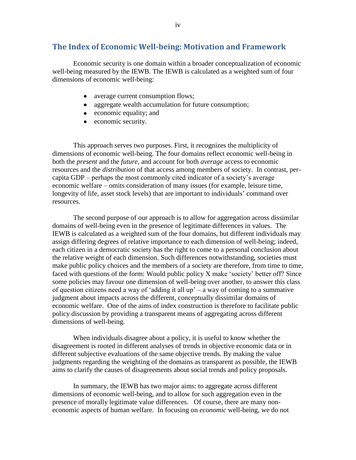## **The Index of Economic Well-being: Motivation and Framework**

Economic security is one domain within a broader conceptualization of economic well-being measured by the IEWB. The IEWB is calculated as a weighted sum of four dimensions of economic well-being:

- average current consumption flows;
- aggregate wealth accumulation for future consumption;
- economic equality; and
- economic security.

This approach serves two purposes. First, it recognizes the multiplicity of dimensions of economic well-being. The four domains reflect economic well-being in both the *present* and the *future*, and account for both *average* access to economic resources and the *distribution* of that access among members of society. In contrast, percapita GDP – perhaps the most commonly cited indicator of a society"s average economic welfare – omits consideration of many issues (for example, leisure time, longevity of life, asset stock levels) that are important to individuals" command over resources.

The second purpose of our approach is to allow for aggregation across dissimilar domains of well-being even in the presence of legitimate differences in values. The IEWB is calculated as a weighted sum of the four domains, but different individuals may assign differing degrees of relative importance to each dimension of well-being; indeed, each citizen in a democratic society has the right to come to a personal conclusion about the relative weight of each dimension. Such differences notwithstanding, societies must make public policy choices and the members of a society are therefore, from time to time, faced with questions of the form: Would public policy X make "society" better off? Since some policies may favour one dimension of well-being over another, to answer this class of question citizens need a way of 'adding it all  $up' - a$  way of coming to a summative judgment about impacts across the different, conceptually dissimilar domains of economic welfare. One of the aims of index construction is therefore to facilitate public policy discussion by providing a transparent means of aggregating across different dimensions of well-being.

When individuals disagree about a policy, it is useful to know whether the disagreement is rooted in different analyses of trends in objective economic data or in different subjective evaluations of the same objective trends. By making the value judgments regarding the weighting of the domains as transparent as possible, the IEWB aims to clarify the causes of disagreements about social trends and policy proposals.

In summary, the IEWB has two major aims: to aggregate across different dimensions of economic well-being, and to allow for such aggregation even in the presence of morally legitimate value differences. Of course, there are many noneconomic aspects of human welfare. In focusing on *economic* well-being, we do not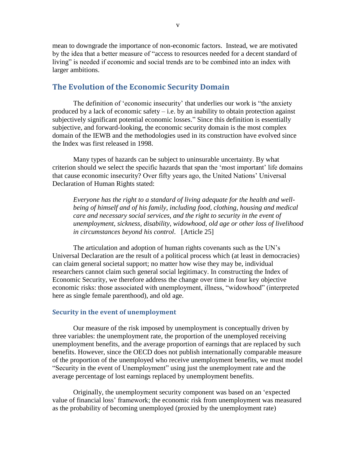mean to downgrade the importance of non-economic factors. Instead, we are motivated by the idea that a better measure of "access to resources needed for a decent standard of living" is needed if economic and social trends are to be combined into an index with larger ambitions.

### **The Evolution of the Economic Security Domain**

The definition of 'economic insecurity' that underlies our work is "the anxiety" produced by a lack of economic safety  $-$  i.e. by an inability to obtain protection against subjectively significant potential economic losses." Since this definition is essentially subjective, and forward-looking, the economic security domain is the most complex domain of the IEWB and the methodologies used in its construction have evolved since the Index was first released in 1998.

Many types of hazards can be subject to uninsurable uncertainty. By what criterion should we select the specific hazards that span the "most important" life domains that cause economic insecurity? Over fifty years ago, the United Nations" Universal Declaration of Human Rights stated:

*Everyone has the right to a standard of living adequate for the health and wellbeing of himself and of his family, including food, clothing, housing and medical care and necessary social services, and the right to security in the event of unemployment, sickness, disability, widowhood, old age or other loss of livelihood in circumstances beyond his control*. [Article 25]

The articulation and adoption of human rights covenants such as the UN"s Universal Declaration are the result of a political process which (at least in democracies) can claim general societal support; no matter how wise they may be, individual researchers cannot claim such general social legitimacy. In constructing the Index of Economic Security, we therefore address the change over time in four key objective economic risks: those associated with unemployment, illness, "widowhood" (interpreted here as single female parenthood), and old age.

#### **Security in the event of unemployment**

Our measure of the risk imposed by unemployment is conceptually driven by three variables: the unemployment rate, the proportion of the unemployed receiving unemployment benefits, and the average proportion of earnings that are replaced by such benefits. However, since the OECD does not publish internationally comparable measure of the proportion of the unemployed who receive unemployment benefits, we must model "Security in the event of Unemployment" using just the unemployment rate and the average percentage of lost earnings replaced by unemployment benefits.

Originally, the unemployment security component was based on an "expected value of financial loss" framework; the economic risk from unemployment was measured as the probability of becoming unemployed (proxied by the unemployment rate)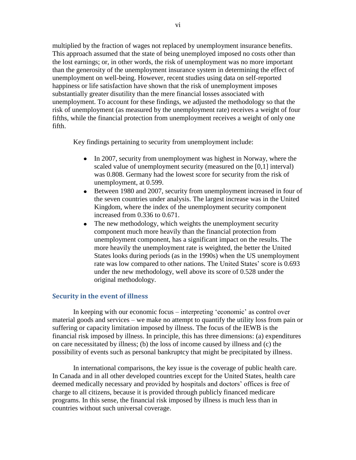multiplied by the fraction of wages not replaced by unemployment insurance benefits. This approach assumed that the state of being unemployed imposed no costs other than the lost earnings; or, in other words, the risk of unemployment was no more important than the generosity of the unemployment insurance system in determining the effect of unemployment on well-being. However, recent studies using data on self-reported happiness or life satisfaction have shown that the risk of unemployment imposes substantially greater disutility than the mere financial losses associated with unemployment. To account for these findings, we adjusted the methodology so that the risk of unemployment (as measured by the unemployment rate) receives a weight of four fifths, while the financial protection from unemployment receives a weight of only one fifth.

Key findings pertaining to security from unemployment include:

- In 2007, security from unemployment was highest in Norway, where the  $\bullet$ scaled value of unemployment security (measured on the [0,1] interval) was 0.808. Germany had the lowest score for security from the risk of unemployment, at 0.599.
- $\bullet$ Between 1980 and 2007, security from unemployment increased in four of the seven countries under analysis. The largest increase was in the United Kingdom, where the index of the unemployment security component increased from 0.336 to 0.671.
- The new methodology, which weights the unemployment security  $\bullet$ component much more heavily than the financial protection from unemployment component, has a significant impact on the results. The more heavily the unemployment rate is weighted, the better the United States looks during periods (as in the 1990s) when the US unemployment rate was low compared to other nations. The United States' score is 0.693 under the new methodology, well above its score of 0.528 under the original methodology.

#### **Security in the event of illness**

In keeping with our economic focus – interpreting "economic" as control over material goods and services – we make no attempt to quantify the utility loss from pain or suffering or capacity limitation imposed by illness. The focus of the IEWB is the financial risk imposed by illness. In principle, this has three dimensions: (a) expenditures on care necessitated by illness; (b) the loss of income caused by illness and (c) the possibility of events such as personal bankruptcy that might be precipitated by illness.

In international comparisons, the key issue is the coverage of public health care. In Canada and in all other developed countries except for the United States, health care deemed medically necessary and provided by hospitals and doctors' offices is free of charge to all citizens, because it is provided through publicly financed medicare programs. In this sense, the financial risk imposed by illness is much less than in countries without such universal coverage.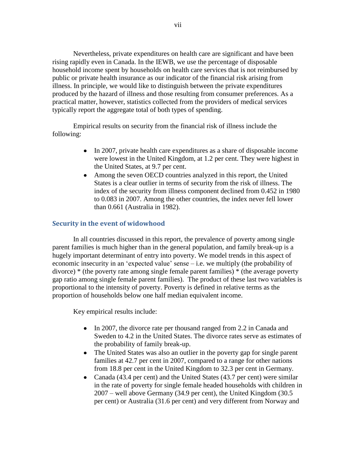Nevertheless, private expenditures on health care are significant and have been rising rapidly even in Canada. In the IEWB, we use the percentage of disposable household income spent by households on health care services that is not reimbursed by public or private health insurance as our indicator of the financial risk arising from illness. In principle, we would like to distinguish between the private expenditures produced by the hazard of illness and those resulting from consumer preferences. As a practical matter, however, statistics collected from the providers of medical services typically report the aggregate total of both types of spending.

Empirical results on security from the financial risk of illness include the following:

- In 2007, private health care expenditures as a share of disposable income were lowest in the United Kingdom, at 1.2 per cent. They were highest in the United States, at 9.7 per cent.
- Among the seven OECD countries analyzed in this report, the United States is a clear outlier in terms of security from the risk of illness. The index of the security from illness component declined from 0.452 in 1980 to 0.083 in 2007. Among the other countries, the index never fell lower than 0.661 (Australia in 1982).

### **Security in the event of widowhood**

In all countries discussed in this report, the prevalence of poverty among single parent families is much higher than in the general population, and family break-up is a hugely important determinant of entry into poverty. We model trends in this aspect of economic insecurity in an "expected value" sense – i.e. we multiply (the probability of divorce) \* (the poverty rate among single female parent families) \* (the average poverty gap ratio among single female parent families). The product of these last two variables is proportional to the intensity of poverty. Poverty is defined in relative terms as the proportion of households below one half median equivalent income.

Key empirical results include:

- In 2007, the divorce rate per thousand ranged from 2.2 in Canada and Sweden to 4.2 in the United States. The divorce rates serve as estimates of the probability of family break-up.
- The United States was also an outlier in the poverty gap for single parent families at 42.7 per cent in 2007, compared to a range for other nations from 18.8 per cent in the United Kingdom to 32.3 per cent in Germany.
- Canada (43.4 per cent) and the United States (43.7 per cent) were similar in the rate of poverty for single female headed households with children in 2007 – well above Germany (34.9 per cent), the United Kingdom (30.5 per cent) or Australia (31.6 per cent) and very different from Norway and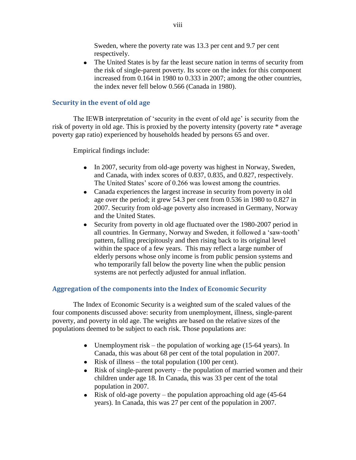Sweden, where the poverty rate was 13.3 per cent and 9.7 per cent respectively.

 $\bullet$ The United States is by far the least secure nation in terms of security from the risk of single-parent poverty. Its score on the index for this component increased from 0.164 in 1980 to 0.333 in 2007; among the other countries, the index never fell below 0.566 (Canada in 1980).

### **Security in the event of old age**

The IEWB interpretation of "security in the event of old age" is security from the risk of poverty in old age. This is proxied by the poverty intensity (poverty rate \* average poverty gap ratio) experienced by households headed by persons 65 and over.

Empirical findings include:

- In 2007, security from old-age poverty was highest in Norway, Sweden, and Canada, with index scores of 0.837, 0.835, and 0.827, respectively. The United States' score of 0.266 was lowest among the countries.
- Canada experiences the largest increase in security from poverty in old age over the period; it grew 54.3 per cent from 0.536 in 1980 to 0.827 in 2007. Security from old-age poverty also increased in Germany, Norway and the United States.
- Security from poverty in old age fluctuated over the 1980-2007 period in  $\bullet$ all countries. In Germany, Norway and Sweden, it followed a "saw-tooth" pattern, falling precipitously and then rising back to its original level within the space of a few years. This may reflect a large number of elderly persons whose only income is from public pension systems and who temporarily fall below the poverty line when the public pension systems are not perfectly adjusted for annual inflation.

### **Aggregation of the components into the Index of Economic Security**

The Index of Economic Security is a weighted sum of the scaled values of the four components discussed above: security from unemployment, illness, single-parent poverty, and poverty in old age. The weights are based on the relative sizes of the populations deemed to be subject to each risk. Those populations are:

- Unemployment risk the population of working age  $(15-64 \text{ years})$ . In Canada, this was about 68 per cent of the total population in 2007.
- Risk of illness the total population  $(100 \text{ per cent})$ .
- Risk of single-parent poverty the population of married women and their  $\bullet$ children under age 18. In Canada, this was 33 per cent of the total population in 2007.
- Risk of old-age poverty the population approaching old age (45-64) years). In Canada, this was 27 per cent of the population in 2007.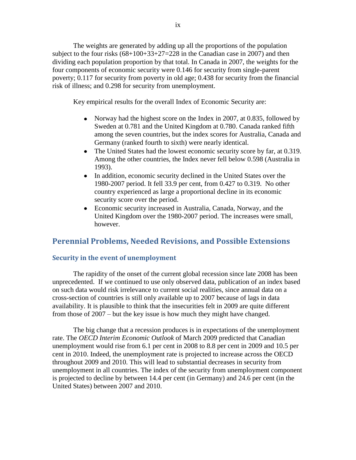The weights are generated by adding up all the proportions of the population subject to the four risks  $(68+100+33+27=228$  in the Canadian case in 2007) and then dividing each population proportion by that total. In Canada in 2007, the weights for the four components of economic security were 0.146 for security from single-parent poverty; 0.117 for security from poverty in old age; 0.438 for security from the financial risk of illness; and 0.298 for security from unemployment.

Key empirical results for the overall Index of Economic Security are:

- Norway had the highest score on the Index in 2007, at 0.835, followed by Sweden at 0.781 and the United Kingdom at 0.780. Canada ranked fifth among the seven countries, but the index scores for Australia, Canada and Germany (ranked fourth to sixth) were nearly identical.
- The United States had the lowest economic security score by far, at 0.319. Among the other countries, the Index never fell below 0.598 (Australia in 1993).
- In addition, economic security declined in the United States over the 1980-2007 period. It fell 33.9 per cent, from 0.427 to 0.319. No other country experienced as large a proportional decline in its economic security score over the period.
- Economic security increased in Australia, Canada, Norway, and the United Kingdom over the 1980-2007 period. The increases were small, however.

### **Perennial Problems, Needed Revisions, and Possible Extensions**

### **Security in the event of unemployment**

The rapidity of the onset of the current global recession since late 2008 has been unprecedented. If we continued to use only observed data, publication of an index based on such data would risk irrelevance to current social realities, since annual data on a cross-section of countries is still only available up to 2007 because of lags in data availability. It is plausible to think that the insecurities felt in 2009 are quite different from those of 2007 – but the key issue is how much they might have changed.

The big change that a recession produces is in expectations of the unemployment rate. The *OECD Interim Economic Outlook* of March 2009 predicted that Canadian unemployment would rise from 6.1 per cent in 2008 to 8.8 per cent in 2009 and 10.5 per cent in 2010. Indeed, the unemployment rate is projected to increase across the OECD throughout 2009 and 2010. This will lead to substantial decreases in security from unemployment in all countries. The index of the security from unemployment component is projected to decline by between 14.4 per cent (in Germany) and 24.6 per cent (in the United States) between 2007 and 2010.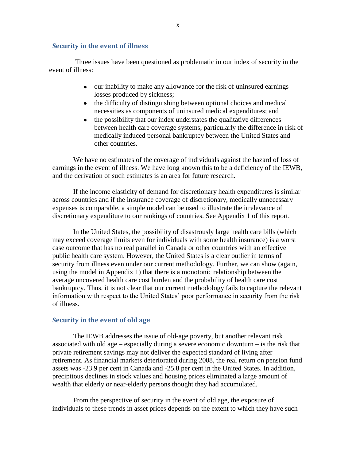#### **Security in the event of illness**

Three issues have been questioned as problematic in our index of security in the event of illness:

- our inability to make any allowance for the risk of uninsured earnings losses produced by sickness;
- the difficulty of distinguishing between optional choices and medical necessities as components of uninsured medical expenditures; and
- $\bullet$ the possibility that our index understates the qualitative differences between health care coverage systems, particularly the difference in risk of medically induced personal bankruptcy between the United States and other countries.

We have no estimates of the coverage of individuals against the hazard of loss of earnings in the event of illness. We have long known this to be a deficiency of the IEWB, and the derivation of such estimates is an area for future research.

If the income elasticity of demand for discretionary health expenditures is similar across countries and if the insurance coverage of discretionary, medically unnecessary expenses is comparable, a simple model can be used to illustrate the irrelevance of discretionary expenditure to our rankings of countries. See Appendix 1 of this report.

In the United States, the possibility of disastrously large health care bills (which may exceed coverage limits even for individuals with some health insurance) is a worst case outcome that has no real parallel in Canada or other countries with an effective public health care system. However, the United States is a clear outlier in terms of security from illness even under our current methodology. Further, we can show (again, using the model in Appendix 1) that there is a monotonic relationship between the average uncovered health care cost burden and the probability of health care cost bankruptcy. Thus, it is not clear that our current methodology fails to capture the relevant information with respect to the United States' poor performance in security from the risk of illness.

#### **Security in the event of old age**

The IEWB addresses the issue of old-age poverty, but another relevant risk associated with old age – especially during a severe economic downturn – is the risk that private retirement savings may not deliver the expected standard of living after retirement. As financial markets deteriorated during 2008, the real return on pension fund assets was -23.9 per cent in Canada and -25.8 per cent in the United States. In addition, precipitous declines in stock values and housing prices eliminated a large amount of wealth that elderly or near-elderly persons thought they had accumulated.

From the perspective of security in the event of old age, the exposure of individuals to these trends in asset prices depends on the extent to which they have such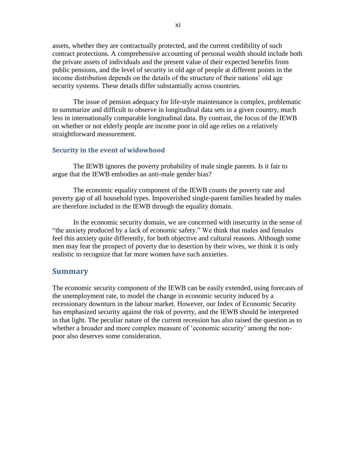assets, whether they are contractually protected, and the current credibility of such contract protections. A comprehensive accounting of personal wealth should include both the private assets of individuals and the present value of their expected benefits from public pensions, and the level of security in old age of people at different points in the income distribution depends on the details of the structure of their nations' old age security systems. These details differ substantially across countries.

The issue of pension adequacy for life-style maintenance is complex, problematic to summarize and difficult to observe in longitudinal data sets in a given country, much less in internationally comparable longitudinal data. By contrast, the focus of the IEWB on whether or not elderly people are income poor in old age relies on a relatively straightforward measurement.

### **Security in the event of widowhood**

The IEWB ignores the poverty probability of male single parents. Is it fair to argue that the IEWB embodies an anti-male gender bias?

The economic equality component of the IEWB counts the poverty rate and poverty gap of all household types. Impoverished single-parent families headed by males are therefore included in the IEWB through the equality domain.

In the economic security domain, we are concerned with insecurity in the sense of "the anxiety produced by a lack of economic safety." We think that males and females feel this anxiety quite differently, for both objective and cultural reasons. Although some men may fear the prospect of poverty due to desertion by their wives, we think it is only realistic to recognize that far more women have such anxieties.

### **Summary**

The economic security component of the IEWB can be easily extended, using forecasts of the unemployment rate, to model the change in economic security induced by a recessionary downturn in the labour market. However, our Index of Economic Security has emphasized security against the risk of poverty, and the IEWB should be interpreted in that light. The peculiar nature of the current recession has also raised the question as to whether a broader and more complex measure of 'economic security' among the nonpoor also deserves some consideration.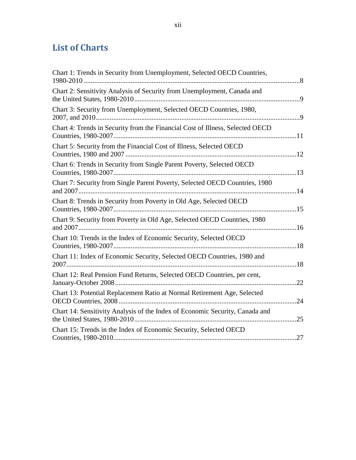# <span id="page-12-0"></span>**List of Charts**

| Chart 1: Trends in Security from Unemployment, Selected OECD Countries,       |     |
|-------------------------------------------------------------------------------|-----|
| Chart 2: Sensitivity Analysis of Security from Unemployment, Canada and       |     |
| Chart 3: Security from Unemployment, Selected OECD Countries, 1980,           |     |
| Chart 4: Trends in Security from the Financial Cost of Illness, Selected OECD |     |
| Chart 5: Security from the Financial Cost of Illness, Selected OECD           |     |
| Chart 6: Trends in Security from Single Parent Poverty, Selected OECD         |     |
| Chart 7: Security from Single Parent Poverty, Selected OECD Countries, 1980   |     |
| Chart 8: Trends in Security from Poverty in Old Age, Selected OECD            |     |
| Chart 9: Security from Poverty in Old Age, Selected OECD Countries, 1980      |     |
| Chart 10: Trends in the Index of Economic Security, Selected OECD             |     |
| Chart 11: Index of Economic Security, Selected OECD Countries, 1980 and       |     |
| Chart 12: Real Pension Fund Returns, Selected OECD Countries, per cent,       | .22 |
| Chart 13: Potential Replacement Ratio at Normal Retirement Age, Selected      | .24 |
| Chart 14: Sensitivity Analysis of the Index of Economic Security, Canada and  | 25  |
| Chart 15: Trends in the Index of Economic Security, Selected OECD             |     |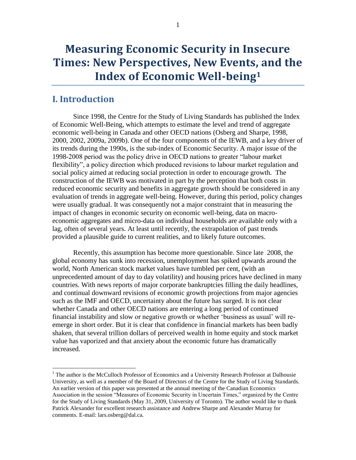# <span id="page-13-0"></span>**I. Introduction**

 $\overline{a}$ 

Since 1998, the Centre for the Study of Living Standards has published the Index of Economic Well-Being, which attempts to estimate the level and trend of aggregate economic well-being in Canada and other OECD nations (Osberg and Sharpe, 1998, 2000, 2002, 2009a, 2009b). One of the four components of the IEWB, and a key driver of its trends during the 1990s, is the sub-index of Economic Security. A major issue of the 1998-2008 period was the policy drive in OECD nations to greater "labour market flexibility", a policy direction which produced revisions to labour market regulation and social policy aimed at reducing social protection in order to encourage growth. The construction of the IEWB was motivated in part by the perception that both costs in reduced economic security and benefits in aggregate growth should be considered in any evaluation of trends in aggregate well-being. However, during this period, policy changes were usually gradual. It was consequently not a major constraint that in measuring the impact of changes in economic security on economic well-being, data on macroeconomic aggregates and micro-data on individual households are available only with a lag, often of several years. At least until recently, the extrapolation of past trends provided a plausible guide to current realities, and to likely future outcomes.

Recently, this assumption has become more questionable. Since late 2008, the global economy has sunk into recession, unemployment has spiked upwards around the world, North American stock market values have tumbled per cent, (with an unprecedented amount of day to day volatility) and housing prices have declined in many countries. With news reports of major corporate bankruptcies filling the daily headlines, and continual downward revisions of economic growth projections from major agencies such as the IMF and OECD, uncertainty about the future has surged. It is not clear whether Canada and other OECD nations are entering a long period of continued financial instability and slow or negative growth or whether "business as usual" will reemerge in short order. But it is clear that confidence in financial markets has been badly shaken, that several trillion dollars of perceived wealth in home equity and stock market value has vaporized and that anxiety about the economic future has dramatically increased.

<sup>&</sup>lt;sup>1</sup> The author is the McCulloch Professor of Economics and a University Research Professor at Dalhousie University, as well as a member of the Board of Directors of the Centre for the Study of Living Standards. An earlier version of this paper was presented at the annual meeting of the Canadian Economics Association in the session "Measures of Economic Security in Uncertain Times," organized by the Centre for the Study of Living Standards (May 31, 2009, University of Toronto). The author would like to thank Patrick Alexander for excellent research assistance and Andrew Sharpe and Alexander Murray for comments. E-mail: lars.osberg@dal.ca.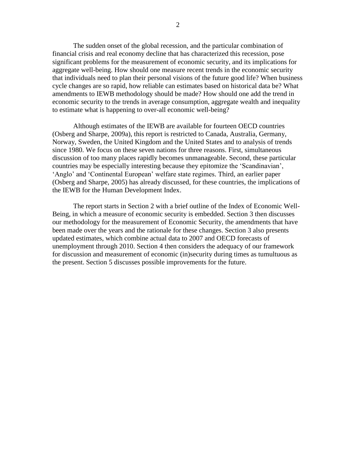The sudden onset of the global recession, and the particular combination of financial crisis and real economy decline that has characterized this recession, pose significant problems for the measurement of economic security, and its implications for aggregate well-being. How should one measure recent trends in the economic security that individuals need to plan their personal visions of the future good life? When business cycle changes are so rapid, how reliable can estimates based on historical data be? What amendments to IEWB methodology should be made? How should one add the trend in economic security to the trends in average consumption, aggregate wealth and inequality to estimate what is happening to over-all economic well-being?

Although estimates of the IEWB are available for fourteen OECD countries (Osberg and Sharpe, 2009a), this report is restricted to Canada, Australia, Germany, Norway, Sweden, the United Kingdom and the United States and to analysis of trends since 1980. We focus on these seven nations for three reasons. First, simultaneous discussion of too many places rapidly becomes unmanageable. Second, these particular countries may be especially interesting because they epitomize the "Scandinavian", "Anglo" and "Continental European" welfare state regimes. Third, an earlier paper (Osberg and Sharpe, 2005) has already discussed, for these countries, the implications of the IEWB for the Human Development Index.

The report starts in Section 2 with a brief outline of the Index of Economic Well-Being, in which a measure of economic security is embedded. Section 3 then discusses our methodology for the measurement of Economic Security, the amendments that have been made over the years and the rationale for these changes. Section 3 also presents updated estimates, which combine actual data to 2007 and OECD forecasts of unemployment through 2010. Section 4 then considers the adequacy of our framework for discussion and measurement of economic (in)security during times as tumultuous as the present. Section 5 discusses possible improvements for the future.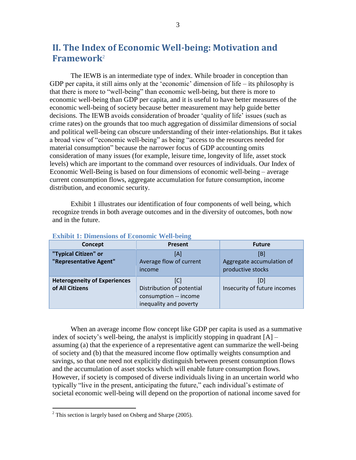# <span id="page-15-0"></span>**II. The Index of Economic Well-being: Motivation and Framework**<sup>2</sup>

The IEWB is an intermediate type of index. While broader in conception than GDP per capita, it still aims only at the 'economic' dimension of life – its philosophy is that there is more to "well-being" than economic well-being, but there is more to economic well-being than GDP per capita, and it is useful to have better measures of the economic well-being of society because better measurement may help guide better decisions. The IEWB avoids consideration of broader "quality of life" issues (such as crime rates) on the grounds that too much aggregation of dissimilar dimensions of social and political well-being can obscure understanding of their inter-relationships. But it takes a broad view of "economic well-being" as being "access to the resources needed for material consumption" because the narrower focus of GDP accounting omits consideration of many issues (for example, leisure time, longevity of life, asset stock levels) which are important to the command over resources of individuals. Our Index of Economic Well-Being is based on four dimensions of economic well-being – average current consumption flows, aggregate accumulation for future consumption, income distribution, and economic security.

[Exhibit 1](#page-15-1) illustrates our identification of four components of well being, which recognize trends in both average outcomes and in the diversity of outcomes, both now and in the future.

| Concept                                                | <b>Present</b>                                                                      | <b>Future</b>                                         |
|--------------------------------------------------------|-------------------------------------------------------------------------------------|-------------------------------------------------------|
| "Typical Citizen" or<br>"Representative Agent"         | [A]<br>Average flow of current<br>income                                            | [B]<br>Aggregate accumulation of<br>productive stocks |
| <b>Heterogeneity of Experiences</b><br>of All Citizens | [C]<br>Distribution of potential<br>consumption -- income<br>inequality and poverty | [D]<br>Insecurity of future incomes                   |

#### <span id="page-15-1"></span>**Exhibit 1: Dimensions of Economic Well-being**

When an average income flow concept like GDP per capita is used as a summative index of society's well-being, the analyst is implicitly stopping in quadrant  $[A]$  – assuming (a) that the experience of a representative agent can summarize the well-being of society and (b) that the measured income flow optimally weights consumption and savings, so that one need not explicitly distinguish between present consumption flows and the accumulation of asset stocks which will enable future consumption flows. However, if society is composed of diverse individuals living in an uncertain world who typically "live in the present, anticipating the future," each individual"s estimate of societal economic well-being will depend on the proportion of national income saved for

 $\overline{a}$ 

 $2^2$  This section is largely based on Osberg and Sharpe (2005).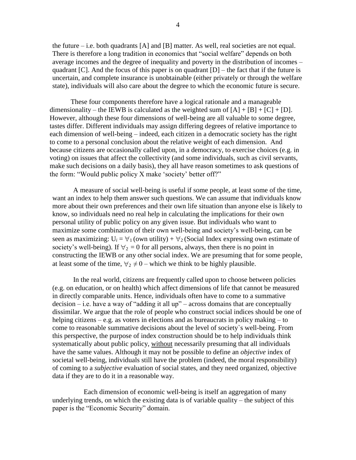the future – i.e. both quadrants  $[A]$  and  $[B]$  matter. As well, real societies are not equal. There is therefore a long tradition in economics that "social welfare" depends on both average incomes and the degree of inequality and poverty in the distribution of incomes – quadrant  $[C]$ . And the focus of this paper is on quadrant  $[D]$  – the fact that if the future is uncertain, and complete insurance is unobtainable (either privately or through the welfare state), individuals will also care about the degree to which the economic future is secure.

These four components therefore have a logical rationale and a manageable dimensionality – the IEWB is calculated as the weighted sum of  $[A] + [B] + [C] + [D]$ . However, although these four dimensions of well-being are all valuable to some degree, tastes differ. Different individuals may assign differing degrees of relative importance to each dimension of well-being – indeed, each citizen in a democratic society has the right to come to a personal conclusion about the relative weight of each dimension. And because citizens are occasionally called upon, in a democracy, to exercise choices (e.g. in voting) on issues that affect the collectivity (and some individuals, such as civil servants, make such decisions on a daily basis), they all have reason sometimes to ask questions of the form: "Would public policy X make "society" better off?"

A measure of social well-being is useful if some people, at least some of the time, want an index to help them answer such questions. We can assume that individuals know more about their own preferences and their own life situation than anyone else is likely to know, so individuals need no real help in calculating the implications for their own personal utility of public policy on any given issue. But individuals who want to maximize some combination of their own well-being and society"s well-being, can be seen as maximizing:  $U_i = \forall_1$  (own utility) +  $\forall_2$  (Social Index expressing own estimate of society's well-being). If  $\forall_2 = 0$  for all persons, always, then there is no point in constructing the IEWB or any other social index. We are presuming that for some people, at least some of the time,  $\forall$ <sub>2</sub>  $\neq$  0 – which we think to be highly plausible.

In the real world, citizens are frequently called upon to choose between policies (e.g. on education, or on health) which affect dimensions of life that cannot be measured in directly comparable units. Hence, individuals often have to come to a summative  $decision - i.e.$  have a way of "adding it all up" – across domains that are conceptually dissimilar. We argue that the role of people who construct social indices should be one of helping citizens – e.g. as voters in elections and as bureaucrats in policy making – to come to reasonable summative decisions about the level of society`s well-being. From this perspective, the purpose of index construction should be to help individuals think systematically about public policy, without necessarily presuming that all individuals have the same values. Although it may not be possible to define an *objective* index of societal well-being, individuals still have the problem (indeed, the moral responsibility) of coming to a *subjective* evaluation of social states, and they need organized, objective data if they are to do it in a reasonable way.

Each dimension of economic well-being is itself an aggregation of many underlying trends, on which the existing data is of variable quality – the subject of this paper is the "Economic Security" domain.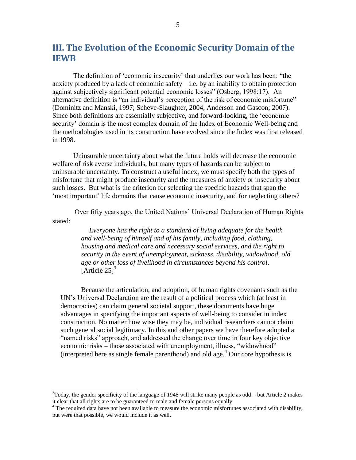# <span id="page-17-0"></span>**III. The Evolution of the Economic Security Domain of the IEWB**

The definition of "economic insecurity" that underlies our work has been: "the anxiety produced by a lack of economic safety  $-i.e.$  by an inability to obtain protection against subjectively significant potential economic losses" (Osberg, 1998:17). An alternative definition is "an individual's perception of the risk of economic misfortune" (Dominitz and Manski, 1997; Scheve-Slaughter, 2004, Anderson and Gascon; 2007). Since both definitions are essentially subjective, and forward-looking, the "economic security' domain is the most complex domain of the Index of Economic Well-being and the methodologies used in its construction have evolved since the Index was first released in 1998.

Uninsurable uncertainty about what the future holds will decrease the economic welfare of risk averse individuals, but many types of hazards can be subject to uninsurable uncertainty. To construct a useful index, we must specify both the types of misfortune that might produce insecurity and the measures of anxiety or insecurity about such losses. But what is the criterion for selecting the specific hazards that span the "most important" life domains that cause economic insecurity, and for neglecting others?

Over fifty years ago, the United Nations" Universal Declaration of Human Rights stated:

> *Everyone has the right to a standard of living adequate for the health and well-being of himself and of his family, including food, clothing, housing and medical care and necessary social services, and the right to security in the event of unemployment, sickness, disability, widowhood, old age or other loss of livelihood in circumstances beyond his control*. [Article  $25$ ]<sup>3</sup>

Because the articulation, and adoption, of human rights covenants such as the UN"s Universal Declaration are the result of a political process which (at least in democracies) can claim general societal support, these documents have huge advantages in specifying the important aspects of well-being to consider in index construction. No matter how wise they may be, individual researchers cannot claim such general social legitimacy. In this and other papers we have therefore adopted a "named risks" approach, and addressed the change over time in four key objective economic risks – those associated with unemployment, illness, "widowhood" (interpreted here as single female parenthood) and old age.<sup>4</sup> Our core hypothesis is

 $\overline{a}$ 

 $3T$ oday, the gender specificity of the language of 1948 will strike many people as odd – but Article 2 makes it clear that all rights are to be guaranteed to male and female persons equally.

 $4$  The required data have not been available to measure the economic misfortunes associated with disability, but were that possible, we would include it as well.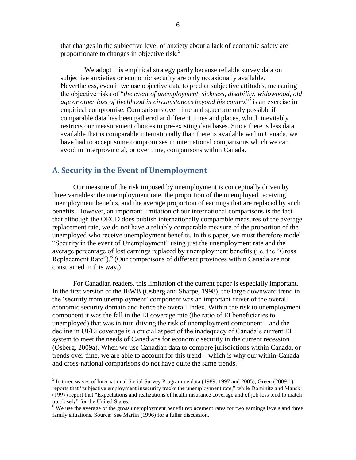that changes in the subjective level of anxiety about a lack of economic safety are proportionate to changes in objective risk.<sup>5</sup>

 We adopt this empirical strategy partly because reliable survey data on subjective anxieties or economic security are only occasionally available. Nevertheless, even if we use objective data to predict subjective attitudes, measuring the objective risks of "*the event of unemployment, sickness, disability, widowhood, old age or other loss of livelihood in circumstances beyond his control"* is an exercise in empirical compromise. Comparisons over time and space are only possible if comparable data has been gathered at different times and places, which inevitably restricts our measurement choices to pre-existing data bases. Since there is less data available that is comparable internationally than there is available within Canada, we have had to accept some compromises in international comparisons which we can avoid in interprovincial, or over time, comparisons within Canada.

### <span id="page-18-0"></span>**A. Security in the Event of Unemployment**

 $\overline{a}$ 

Our measure of the risk imposed by unemployment is conceptually driven by three variables: the unemployment rate, the proportion of the unemployed receiving unemployment benefits, and the average proportion of earnings that are replaced by such benefits. However, an important limitation of our international comparisons is the fact that although the OECD does publish internationally comparable measures of the average replacement rate, we do not have a reliably comparable measure of the proportion of the unemployed who receive unemployment benefits. In this paper, we must therefore model "Security in the event of Unemployment" using just the unemployment rate and the average percentage of lost earnings replaced by unemployment benefits (i.e. the "Gross Replacement Rate").<sup>6</sup> (Our comparisons of different provinces within Canada are not constrained in this way.)

For Canadian readers, this limitation of the current paper is especially important. In the first version of the IEWB (Osberg and Sharpe, 1998), the large downward trend in the "security from unemployment" component was an important driver of the overall economic security domain and hence the overall Index. Within the risk to unemployment component it was the fall in the EI coverage rate (the ratio of EI beneficiaries to unemployed) that was in turn driving the risk of unemployment component – and the decline in UI/EI coverage is a crucial aspect of the inadequacy of Canada"s current EI system to meet the needs of Canadians for economic security in the current recession (Osberg, 2009a). When we use Canadian data to compare jurisdictions within Canada, or trends over time, we are able to account for this trend – which is why our within-Canada and cross-national comparisons do not have quite the same trends.

<sup>&</sup>lt;sup>5</sup> In three waves of International Social Survey Programme data (1989, 1997 and 2005), Green (2009:1) reports that "subjective employment insecurity tracks the unemployment rate," while Dominitz and Manski (1997) report that "Expectations and realizations of health insurance coverage and of job loss tend to match up closely" for the United States.

<sup>&</sup>lt;sup>6</sup> We use the average of the gross unemployment benefit replacement rates for two earnings levels and three family situations. Source: See Martin (1996) for a fuller discussion.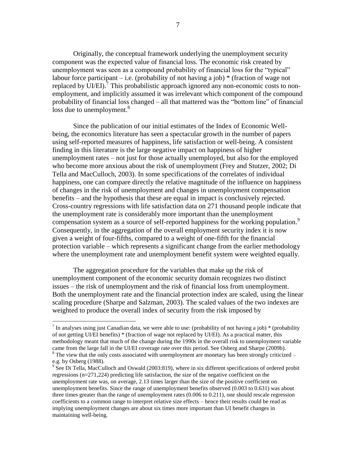Originally, the conceptual framework underlying the unemployment security component was the expected value of financial loss. The economic risk created by unemployment was seen as a compound probability of financial loss for the "typical" labour force participant – i.e. (probability of not having a job)  $*$  (fraction of wage not replaced by  $\overline{U}$ I/EI).<sup>7</sup> This probabilistic approach ignored any non-economic costs to nonemployment, and implicitly assumed it was irrelevant which component of the compound probability of financial loss changed – all that mattered was the "bottom line" of financial loss due to unemployment.<sup>8</sup>

Since the publication of our initial estimates of the Index of Economic Wellbeing, the economics literature has seen a spectacular growth in the number of papers using self-reported measures of happiness, life satisfaction or well-being. A consistent finding in this literature is the large negative impact on happiness of higher unemployment rates – not just for those actually unemployed, but also for the employed who become more anxious about the risk of unemployment (Frey and Stutzer, 2002; Di Tella and MacCulloch, 2003). In some specifications of the correlates of individual happiness, one can compare directly the relative magnitude of the influence on happiness of changes in the risk of unemployment and changes in unemployment compensation benefits – and the hypothesis that these are equal in impact is conclusively rejected. Cross-country regressions with life satisfaction data on 271 thousand people indicate that the unemployment rate is considerably more important than the unemployment compensation system as a source of self-reported happiness for the working population.<sup>9</sup> Consequently, in the aggregation of the overall employment security index it is now given a weight of four-fifths, compared to a weight of one-fifth for the financial protection variable – which represents a significant change from the earlier methodology where the unemployment rate and unemployment benefit system were weighted equally.

The aggregation procedure for the variables that make up the risk of unemployment component of the economic security domain recognizes two distinct issues – the risk of unemployment and the risk of financial loss from unemployment. Both the unemployment rate and the financial protection index are scaled, using the linear scaling procedure (Sharpe and Salzman, 2003). The scaled values of the two indexes are weighted to produce the overall index of security from the risk imposed by

 $\overline{a}$ 

<sup>&</sup>lt;sup>7</sup> In analyses using just Canadian data, we were able to use: (probability of not having a job) \* (probability of not getting UI/EI benefits) \* (fraction of wage not replaced by UI/EI). As a practical matter, this methodology meant that much of the change during the 1990s in the overall risk to unemployment variable came from the large fall in the UI/EI coverage rate over this period. See Osberg and Sharpe (2009b).  $8$  The view that the only costs associated with unemployment are monetary has been strongly criticized –

e.g. by Osberg (1988).

 $9^9$  See Di Tella, MacCulloch and Oswald (2003:819), where in six different specifications of ordered probit regressions  $(n=271,224)$  predicting life satisfaction, the size of the negative coefficient on the unemployment rate was, on average, 2.13 times larger than the size of the positive coefficient on unemployment benefits. Since the range of unemployment benefits observed (0.003 to 0.631) was about three times greater than the range of unemployment rates (0.006 to 0.211), one should rescale regression coefficients to a common range to interpret relative size effects – hence their results could be read as implying unemployment changes are about six times more important than UI benefit changes in maintaining well-being.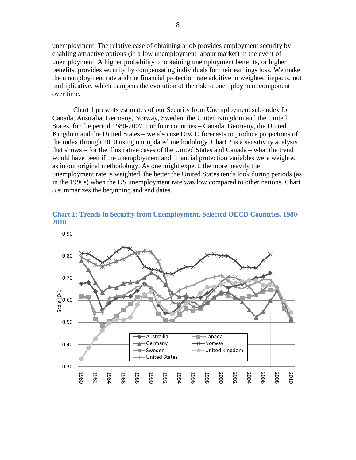unemployment. The relative ease of obtaining a job provides employment security by enabling attractive options (in a low unemployment labour market) in the event of unemployment. A higher probability of obtaining unemployment benefits, or higher benefits, provides security by compensating individuals for their earnings loss. We make the unemployment rate and the financial protection rate additive in weighted impacts, not multiplicative, which dampens the evolution of the risk to unemployment component over time.

[Chart 1](#page-20-0) presents estimates of our Security from Unemployment sub-index for Canada, Australia, Germany, Norway, Sweden, the United Kingdom and the United States, for the period 1980-2007. For four countries – Canada, Germany, the United Kingdom and the United States – we also use OECD forecasts to produce projections of the index through 2010 using our updated methodology. [Chart 2](#page-21-0) is a sensitivity analysis that shows – for the illustrative cases of the United States and Canada – what the trend would have been if the unemployment and financial protection variables were weighted as in our original methodology. As one might expect, the more heavily the unemployment rate is weighted, the better the United States tends look during periods (as in the 1990s) when the US unemployment rate was low compared to other nations. [Chart](#page-21-1)  [3](#page-21-1) summarizes the beginning and end dates.



<span id="page-20-0"></span>**Chart 1: Trends in Security from Unemployment, Selected OECD Countries, 1980- 2010**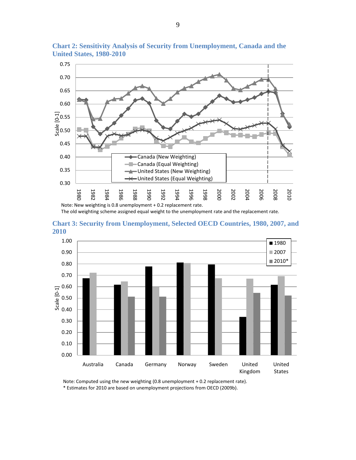

<span id="page-21-0"></span>**Chart 2: Sensitivity Analysis of Security from Unemployment, Canada and the United States, 1980-2010**

The old weighting scheme assigned equal weight to the unemployment rate and the replacement rate.

<span id="page-21-1"></span>



Note: Computed using the new weighting (0.8 unemployment + 0.2 replacement rate). \* Estimates for 2010 are based on unemployment projections from OECD (2009b).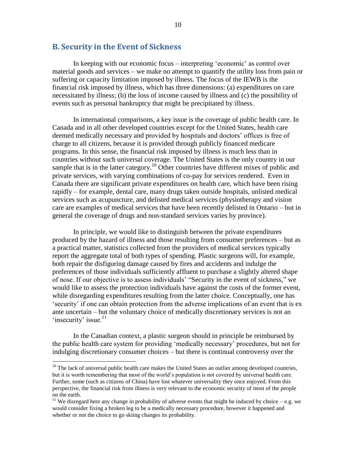### <span id="page-22-0"></span>**B. Security in the Event of Sickness**

In keeping with our economic focus – interpreting "economic" as control over material goods and services – we make no attempt to quantify the utility loss from pain or suffering or capacity limitation imposed by illness. The focus of the IEWB is the financial risk imposed by illness, which has three dimensions: (a) expenditures on care necessitated by illness; (b) the loss of income caused by illness and (c) the possibility of events such as personal bankruptcy that might be precipitated by illness.

In international comparisons, a key issue is the coverage of public health care. In Canada and in all other developed countries except for the United States, health care deemed medically necessary and provided by hospitals and doctors' offices is free of charge to all citizens, because it is provided through publicly financed medicare programs. In this sense, the financial risk imposed by illness is much less than in countries without such universal coverage. The United States is the only country in our sample that is in the latter category.<sup>10</sup> Other countries have different mixes of public and private services, with varying combinations of co-pay for services rendered. Even in Canada there are significant private expenditures on health care, which have been rising rapidly – for example, dental care, many drugs taken outside hospitals, unlisted medical services such as acupuncture, and delisted medical services (physiotherapy and vision care are examples of medical services that have been recently delisted in Ontario – but in general the coverage of drugs and non-standard services varies by province).

In principle, we would like to distinguish between the private expenditures produced by the hazard of illness and those resulting from consumer preferences – but as a practical matter, statistics collected from the providers of medical services typically report the aggregate total of both types of spending. Plastic surgeons will, for example, both repair the disfiguring damage caused by fires and accidents and indulge the preferences of those individuals sufficiently affluent to purchase a slightly altered shape of nose. If our objective is to assess individuals" "Security in the event of sickness," we would like to assess the protection individuals have against the costs of the former event, while disregarding expenditures resulting from the latter choice. Conceptually, one has "security" if one can obtain protection from the adverse implications of an event that is ex ante uncertain – but the voluntary choice of medically discretionary services is not an 'insecurity' issue. $11$ 

In the Canadian context, a plastic surgeon should in principle be reimbursed by the public health care system for providing "medically necessary" procedures, but not for indulging discretionary consumer choices – but there is continual controversy over the

 $\overline{a}$ 

 $10$  The lack of universal public health care makes the United States an outlier among developed countries, but it is worth remembering that most of the world"s population is not covered by universal health care. Further, some (such as citizens of China) have lost whatever universality they once enjoyed. From this perspective, the financial risk from illness is very relevant to the economic security of most of the people on the earth.

<sup>&</sup>lt;sup>11</sup> We disregard here any change in probability of adverse events that might be induced by choice – e.g. we would consider fixing a broken leg to be a medically necessary procedure, however it happened and whether or not the choice to go skiing changes its probability.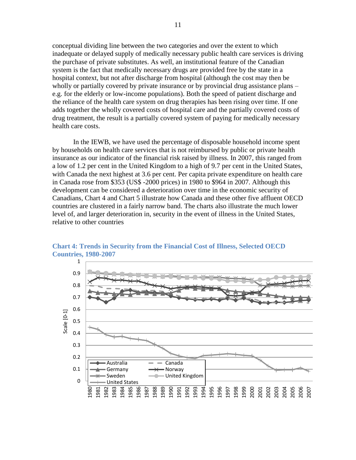conceptual dividing line between the two categories and over the extent to which inadequate or delayed supply of medically necessary public health care services is driving the purchase of private substitutes. As well, an institutional feature of the Canadian system is the fact that medically necessary drugs are provided free by the state in a hospital context, but not after discharge from hospital (although the cost may then be wholly or partially covered by private insurance or by provincial drug assistance plans – e.g. for the elderly or low-income populations). Both the speed of patient discharge and the reliance of the health care system on drug therapies has been rising over time. If one adds together the wholly covered costs of hospital care and the partially covered costs of drug treatment, the result is a partially covered system of paying for medically necessary health care costs.

In the IEWB, we have used the percentage of disposable household income spent by households on health care services that is not reimbursed by public or private health insurance as our indicator of the financial risk raised by illness. In 2007, this ranged from a low of 1.2 per cent in the United Kingdom to a high of 9.7 per cent in the United States, with Canada the next highest at 3.6 per cent. Per capita private expenditure on health care in Canada rose from \$353 (US\$ -2000 prices) in 1980 to \$964 in 2007. Although this development can be considered a deterioration over time in the economic security of Canadians, [Chart 4](#page-23-0) and [Chart 5](#page-24-1) illustrate how Canada and these other five affluent OECD countries are clustered in a fairly narrow band. The charts also illustrate the much lower level of, and larger deterioration in, security in the event of illness in the United States, relative to other countries



<span id="page-23-0"></span>**Chart 4: Trends in Security from the Financial Cost of Illness, Selected OECD Countries, 1980-2007**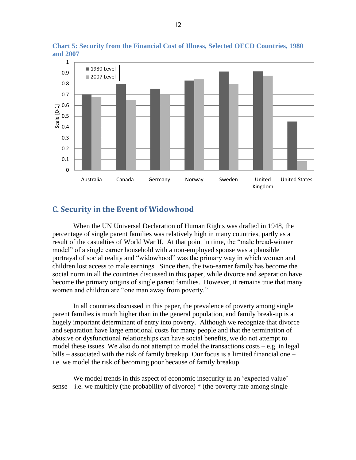

<span id="page-24-1"></span>**Chart 5: Security from the Financial Cost of Illness, Selected OECD Countries, 1980 and 2007**

### <span id="page-24-0"></span>**C. Security in the Event of Widowhood**

When the UN Universal Declaration of Human Rights was drafted in 1948, the percentage of single parent families was relatively high in many countries, partly as a result of the casualties of World War II. At that point in time, the "male bread-winner model" of a single earner household with a non-employed spouse was a plausible portrayal of social reality and "widowhood" was the primary way in which women and children lost access to male earnings. Since then, the two-earner family has become the social norm in all the countries discussed in this paper, while divorce and separation have become the primary origins of single parent families. However, it remains true that many women and children are "one man away from poverty."

In all countries discussed in this paper, the prevalence of poverty among single parent families is much higher than in the general population, and family break-up is a hugely important determinant of entry into poverty. Although we recognize that divorce and separation have large emotional costs for many people and that the termination of abusive or dysfunctional relationships can have social benefits, we do not attempt to model these issues. We also do not attempt to model the transactions costs – e.g. in legal bills – associated with the risk of family breakup. Our focus is a limited financial one – i.e. we model the risk of becoming poor because of family breakup.

We model trends in this aspect of economic insecurity in an 'expected value' sense – i.e. we multiply (the probability of divorce)  $*$  (the poverty rate among single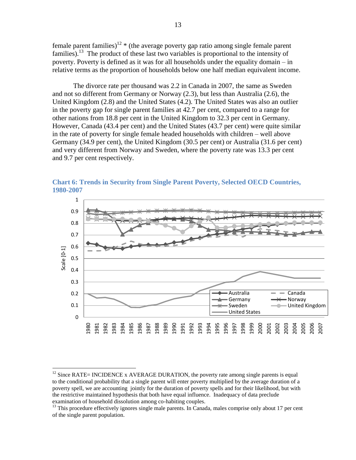female parent families)<sup>12</sup>  $*$  (the average poverty gap ratio among single female parent families).<sup>13</sup> The product of these last two variables is proportional to the intensity of poverty. Poverty is defined as it was for all households under the equality domain – in relative terms as the proportion of households below one half median equivalent income.

The divorce rate per thousand was 2.2 in Canada in 2007, the same as Sweden and not so different from Germany or Norway (2.3), but less than Australia (2.6), the United Kingdom (2.8) and the United States (4.2). The United States was also an outlier in the poverty gap for single parent families at 42.7 per cent, compared to a range for other nations from 18.8 per cent in the United Kingdom to 32.3 per cent in Germany. However, Canada (43.4 per cent) and the United States (43.7 per cent) were quite similar in the rate of poverty for single female headed households with children – well above Germany (34.9 per cent), the United Kingdom (30.5 per cent) or Australia (31.6 per cent) and very different from Norway and Sweden, where the poverty rate was 13.3 per cent and 9.7 per cent respectively.



<span id="page-25-0"></span>**Chart 6: Trends in Security from Single Parent Poverty, Selected OECD Countries, 1980-2007**

 $\overline{a}$ 

 $12$  Since RATE= INCIDENCE x AVERAGE DURATION, the poverty rate among single parents is equal to the conditional probability that a single parent will enter poverty multiplied by the average duration of a poverty spell, we are accounting jointly for the duration of poverty spells and for their likelihood, but with the restrictive maintained hypothesis that both have equal influence. Inadequacy of data preclude examination of household dissolution among co-habiting couples.

<sup>&</sup>lt;sup>13</sup> This procedure effectively ignores single male parents. In Canada, males comprise only about 17 per cent of the single parent population.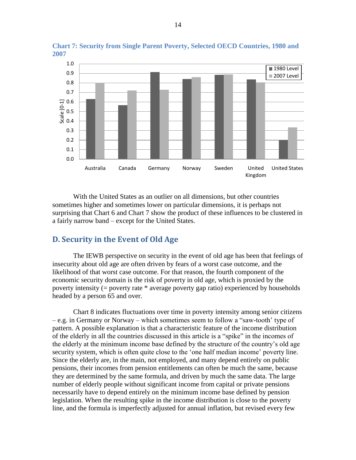

<span id="page-26-1"></span>**Chart 7: Security from Single Parent Poverty, Selected OECD Countries, 1980 and 2007**

With the United States as an outlier on all dimensions, but other countries sometimes higher and sometimes lower on particular dimensions, it is perhaps not surprising that [Chart 6](#page-25-0) and [Chart 7](#page-26-1) show the product of these influences to be clustered in a fairly narrow band – except for the United States.

### <span id="page-26-0"></span>**D. Security in the Event of Old Age**

The IEWB perspective on security in the event of old age has been that feelings of insecurity about old age are often driven by fears of a worst case outcome, and the likelihood of that worst case outcome. For that reason, the fourth component of the economic security domain is the risk of poverty in old age, which is proxied by the poverty intensity (= poverty rate \* average poverty gap ratio) experienced by households headed by a person 65 and over.

[Chart 8](#page-27-0) indicates fluctuations over time in poverty intensity among senior citizens – e.g. in Germany or Norway – which sometimes seem to follow a "saw-tooth" type of pattern. A possible explanation is that a characteristic feature of the income distribution of the elderly in all the countries discussed in this article is a "spike" in the incomes of the elderly at the minimum income base defined by the structure of the country"s old age security system, which is often quite close to the 'one half median income' poverty line. Since the elderly are, in the main, not employed, and many depend entirely on public pensions, their incomes from pension entitlements can often be much the same, because they are determined by the same formula, and driven by much the same data. The large number of elderly people without significant income from capital or private pensions necessarily have to depend entirely on the minimum income base defined by pension legislation. When the resulting spike in the income distribution is close to the poverty line, and the formula is imperfectly adjusted for annual inflation, but revised every few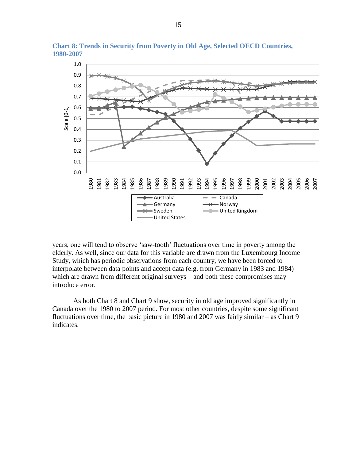

<span id="page-27-0"></span>**Chart 8: Trends in Security from Poverty in Old Age, Selected OECD Countries, 1980-2007**

years, one will tend to observe "saw-tooth" fluctuations over time in poverty among the elderly. As well, since our data for this variable are drawn from the Luxembourg Income Study, which has periodic observations from each country, we have been forced to interpolate between data points and accept data (e.g. from Germany in 1983 and 1984) which are drawn from different original surveys – and both these compromises may introduce error.

As both [Chart 8](#page-27-0) and [Chart 9](#page-28-1) show, security in old age improved significantly in Canada over the 1980 to 2007 period. For most other countries, despite some significant fluctuations over time, the basic picture in 1980 and 2007 was fairly similar – as [Chart 9](#page-28-1) indicates.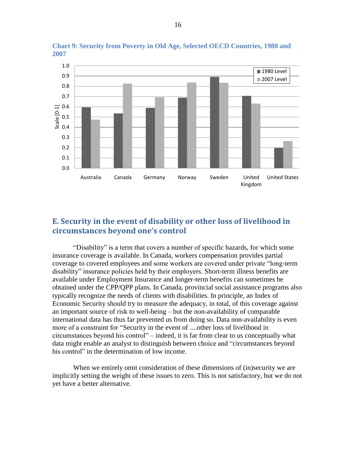

<span id="page-28-1"></span>**Chart 9: Security from Poverty in Old Age, Selected OECD Countries, 1980 and 2007**

## <span id="page-28-0"></span>**E. Security in the event of disability or other loss of livelihood in circumstances beyond one's control**

"Disability" is a term that covers a number of specific hazards, for which some insurance coverage is available. In Canada, workers compensation provides partial coverage to covered employees and some workers are covered under private "long-term disability" insurance policies held by their employers. Short-term illness benefits are available under Employment Insurance and longer-term benefits can sometimes be obtained under the CPP/QPP plans. In Canada, provincial social assistance programs also typically recognize the needs of clients with disabilities. In principle, an Index of Economic Security should try to measure the adequacy, in total, of this coverage against an important source of risk to well-being – but the non-availability of comparable international data has thus far prevented us from doing so. Data non-availability is even more of a constraint for "Security in the event of ....other loss of livelihood in circumstances beyond his control" – indeed, it is far from clear to us conceptually what data might enable an analyst to distinguish between choice and "circumstances beyond his control" in the determination of low income.

When we entirely omit consideration of these dimensions of (in)security we are implicitly setting the weight of these issues to zero. This is not satisfactory, but we do not yet have a better alternative.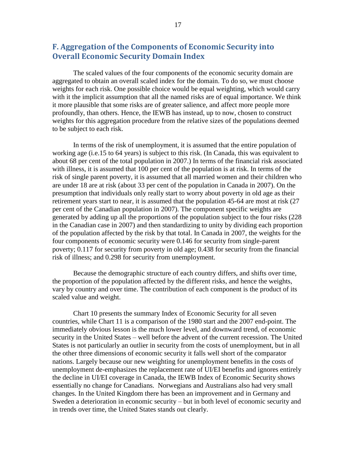### <span id="page-29-0"></span>**F. Aggregation of the Components of Economic Security into Overall Economic Security Domain Index**

The scaled values of the four components of the economic security domain are aggregated to obtain an overall scaled index for the domain. To do so, we must choose weights for each risk. One possible choice would be equal weighting, which would carry with it the implicit assumption that all the named risks are of equal importance. We think it more plausible that some risks are of greater salience, and affect more people more profoundly, than others. Hence, the IEWB has instead, up to now, chosen to construct weights for this aggregation procedure from the relative sizes of the populations deemed to be subject to each risk.

In terms of the risk of unemployment, it is assumed that the entire population of working age (i.e.15 to 64 years) is subject to this risk. (In Canada, this was equivalent to about 68 per cent of the total population in 2007.) In terms of the financial risk associated with illness, it is assumed that 100 per cent of the population is at risk. In terms of the risk of single parent poverty, it is assumed that all married women and their children who are under 18 are at risk (about 33 per cent of the population in Canada in 2007). On the presumption that individuals only really start to worry about poverty in old age as their retirement years start to near, it is assumed that the population 45-64 are most at risk (27 per cent of the Canadian population in 2007). The component specific weights are generated by adding up all the proportions of the population subject to the four risks (228 in the Canadian case in 2007) and then standardizing to unity by dividing each proportion of the population affected by the risk by that total. In Canada in 2007, the weights for the four components of economic security were 0.146 for security from single-parent poverty; 0.117 for security from poverty in old age; 0.438 for security from the financial risk of illness; and 0.298 for security from unemployment.

Because the demographic structure of each country differs, and shifts over time, the proportion of the population affected by the different risks, and hence the weights, vary by country and over time. The contribution of each component is the product of its scaled value and weight.

[Chart 10](#page-30-0) presents the summary Index of Economic Security for all seven countries, while [Chart 11](#page-30-1) is a comparison of the 1980 start and the 2007 end-point. The immediately obvious lesson is the much lower level, and downward trend, of economic security in the United States – well before the advent of the current recession. The United States is not particularly an outlier in security from the costs of unemployment, but in all the other three dimensions of economic security it falls well short of the comparator nations. Largely because our new weighting for unemployment benefits in the costs of unemployment de-emphasizes the replacement rate of UI/EI benefits and ignores entirely the decline in UI/EI coverage in Canada, the IEWB Index of Economic Security shows essentially no change for Canadians. Norwegians and Australians also had very small changes. In the United Kingdom there has been an improvement and in Germany and Sweden a deterioration in economic security – but in both level of economic security and in trends over time, the United States stands out clearly.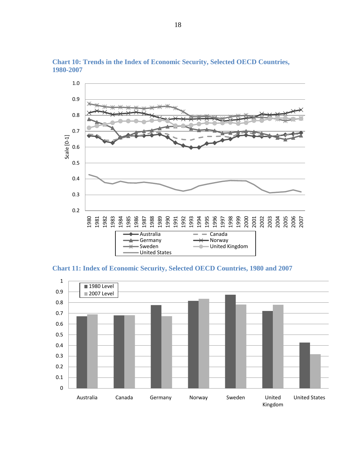

<span id="page-30-0"></span>**Chart 10: Trends in the Index of Economic Security, Selected OECD Countries, 1980-2007**

<span id="page-30-1"></span>**Chart 11: Index of Economic Security, Selected OECD Countries, 1980 and 2007**

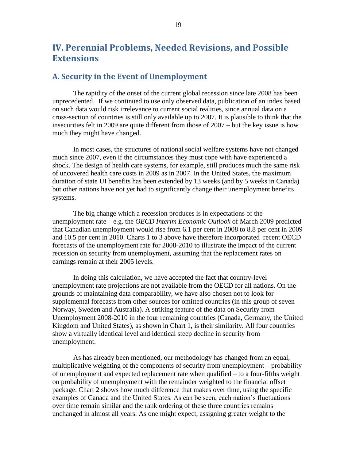# <span id="page-31-0"></span>**IV. Perennial Problems, Needed Revisions, and Possible Extensions**

### <span id="page-31-1"></span>**A. Security in the Event of Unemployment**

The rapidity of the onset of the current global recession since late 2008 has been unprecedented. If we continued to use only observed data, publication of an index based on such data would risk irrelevance to current social realities, since annual data on a cross-section of countries is still only available up to 2007. It is plausible to think that the insecurities felt in 2009 are quite different from those of 2007 – but the key issue is how much they might have changed.

In most cases, the structures of national social welfare systems have not changed much since 2007, even if the circumstances they must cope with have experienced a shock. The design of health care systems, for example, still produces much the same risk of uncovered health care costs in 2009 as in 2007. In the United States, the maximum duration of state UI benefits has been extended by 13 weeks (and by 5 weeks in Canada) but other nations have not yet had to significantly change their unemployment benefits systems.

The big change which a recession produces is in expectations of the unemployment rate – e.g. the *OECD Interim Economic Outlook* of March 2009 predicted that Canadian unemployment would rise from 6.1 per cent in 2008 to 8.8 per cent in 2009 and 10.5 per cent in 2010. Charts 1 to 3 above have therefore incorporated recent OECD forecasts of the unemployment rate for 2008-2010 to illustrate the impact of the current recession on security from unemployment, assuming that the replacement rates on earnings remain at their 2005 levels.

In doing this calculation, we have accepted the fact that country-level unemployment rate projections are not available from the OECD for all nations. On the grounds of maintaining data comparability, we have also chosen not to look for supplemental forecasts from other sources for omitted countries (in this group of seven – Norway, Sweden and Australia). A striking feature of the data on Security from Unemployment 2008-2010 in the four remaining countries (Canada, Germany, the United Kingdom and United States), as shown in [Chart 1,](#page-20-0) is their similarity. All four countries show a virtually identical level and identical steep decline in security from unemployment.

As has already been mentioned, our methodology has changed from an equal, multiplicative weighting of the components of security from unemployment – probability of unemployment and expected replacement rate when qualified – to a four-fifths weight on probability of unemployment with the remainder weighted to the financial offset package. [Chart 2](#page-21-0) shows how much difference that makes over time, using the specific examples of Canada and the United States. As can be seen, each nation"s fluctuations over time remain similar and the rank ordering of these three countries remains unchanged in almost all years. As one might expect, assigning greater weight to the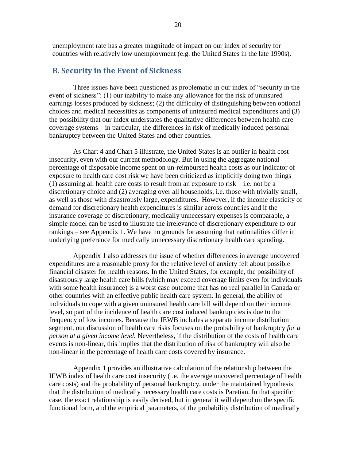unemployment rate has a greater magnitude of impact on our index of security for countries with relatively low unemployment (e.g. the United States in the late 1990s).

### <span id="page-32-0"></span>**B. Security in the Event of Sickness**

Three issues have been questioned as problematic in our index of "security in the event of sickness": (1) our inability to make any allowance for the risk of uninsured earnings losses produced by sickness; (2) the difficulty of distinguishing between optional choices and medical necessities as components of uninsured medical expenditures and (3) the possibility that our index understates the qualitative differences between health care coverage systems – in particular, the differences in risk of medically induced personal bankruptcy between the United States and other countries.

As [Chart 4](#page-23-0) and [Chart 5](#page-24-1) illustrate, the United States is an outlier in health cost insecurity, even with our current methodology. But in using the aggregate national percentage of disposable income spent on un-reimbursed health costs as our indicator of exposure to health care cost risk we have been criticized as implicitly doing two things – (1) assuming all health care costs to result from an exposure to risk – i.e. not be a discretionary choice and (2) averaging over all households, i.e. those with trivially small, as well as those with disastrously large, expenditures. However, if the income elasticity of demand for discretionary health expenditures is similar across countries and if the insurance coverage of discretionary, medically unnecessary expenses is comparable, a simple model can be used to illustrate the irrelevance of discretionary expenditure to our rankings – see Appendix 1. We have no grounds for assuming that nationalities differ in underlying preference for medically unnecessary discretionary health care spending.

Appendix 1 also addresses the issue of whether differences in average uncovered expenditures are a reasonable proxy for the relative level of anxiety felt about possible financial disaster for health reasons. In the United States, for example, the possibility of disastrously large health care bills (which may exceed coverage limits even for individuals with some health insurance) is a worst case outcome that has no real parallel in Canada or other countries with an effective public health care system. In general, the ability of individuals to cope with a given uninsured health care bill will depend on their income level, so part of the incidence of health care cost induced bankruptcies is due to the frequency of low incomes. Because the IEWB includes a separate income distribution segment, our discussion of health care risks focuses on the probability of bankruptcy *for a person at a given income level.* Nevertheless, if the distribution of the costs of health care events is non-linear, this implies that the distribution of risk of bankruptcy will also be non-linear in the percentage of health care costs covered by insurance.

Appendix 1 provides an illustrative calculation of the relationship between the IEWB index of health care cost insecurity (i.e. the average uncovered percentage of health care costs) and the probability of personal bankruptcy, under the maintained hypothesis that the distribution of medically necessary health care costs is Paretian. In that specific case, the exact relationship is easily derived, but in general it will depend on the specific functional form, and the empirical parameters, of the probability distribution of medically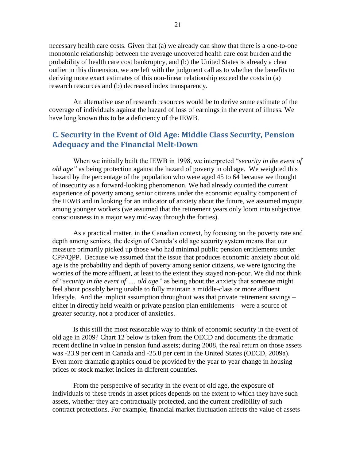necessary health care costs. Given that (a) we already can show that there is a one-to-one monotonic relationship between the average uncovered health care cost burden and the probability of health care cost bankruptcy, and (b) the United States is already a clear outlier in this dimension, we are left with the judgment call as to whether the benefits to deriving more exact estimates of this non-linear relationship exceed the costs in (a) research resources and (b) decreased index transparency.

An alternative use of research resources would be to derive some estimate of the coverage of individuals against the hazard of loss of earnings in the event of illness. We have long known this to be a deficiency of the IEWB.

## <span id="page-33-0"></span>**C. Security in the Event of Old Age: Middle Class Security, Pension Adequacy and the Financial Melt-Down**

When we initially built the IEWB in 1998, we interpreted "*security in the event of old age"* as being protection against the hazard of poverty in old age. We weighted this hazard by the percentage of the population who were aged 45 to 64 because we thought of insecurity as a forward-looking phenomenon. We had already counted the current experience of poverty among senior citizens under the economic equality component of the IEWB and in looking for an indicator of anxiety about the future, we assumed myopia among younger workers (we assumed that the retirement years only loom into subjective consciousness in a major way mid-way through the forties).

As a practical matter, in the Canadian context, by focusing on the poverty rate and depth among seniors, the design of Canada"s old age security system means that our measure primarily picked up those who had minimal public pension entitlements under CPP/QPP. Because we assumed that the issue that produces economic anxiety about old age is the probability and depth of poverty among senior citizens, we were ignoring the worries of the more affluent, at least to the extent they stayed non-poor. We did not think of "*security in the event of …. old age"* as being about the anxiety that someone might feel about possibly being unable to fully maintain a middle-class or more affluent lifestyle. And the implicit assumption throughout was that private retirement savings – either in directly held wealth or private pension plan entitlements – were a source of greater security, not a producer of anxieties.

Is this still the most reasonable way to think of economic security in the event of old age in 2009? [Chart 12](#page-34-0) below is taken from the OECD and documents the dramatic recent decline in value in pension fund assets; during 2008, the real return on those assets was -23.9 per cent in Canada and -25.8 per cent in the United States (OECD, 2009a). Even more dramatic graphics could be provided by the year to year change in housing prices or stock market indices in different countries.

From the perspective of security in the event of old age, the exposure of individuals to these trends in asset prices depends on the extent to which they have such assets, whether they are contractually protected, and the current credibility of such contract protections. For example, financial market fluctuation affects the value of assets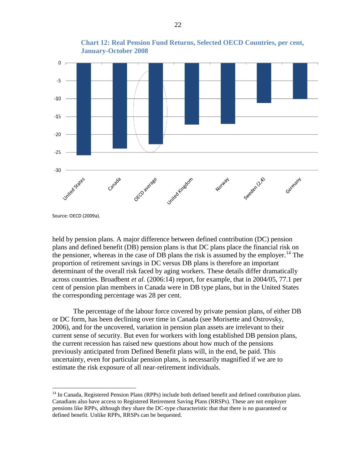<span id="page-34-0"></span>

held by pension plans. A major difference between defined contribution (DC) pension plans and defined benefit (DB) pension plans is that DC plans place the financial risk on the pensioner, whereas in the case of DB plans the risk is assumed by the employer.<sup>14</sup> The proportion of retirement savings in DC versus DB plans is therefore an important determinant of the overall risk faced by aging workers. These details differ dramatically across countries. Broadbent *et al.* (2006:14) report, for example, that in 2004/05, 77.1 per cent of pension plan members in Canada were in DB type plans, but in the United States the corresponding percentage was 28 per cent.

The percentage of the labour force covered by private pension plans, of either DB or DC form, has been declining over time in Canada (see Morisette and Ostrovsky, 2006), and for the uncovered, variation in pension plan assets are irrelevant to their current sense of security. But even for workers with long established DB pension plans, the current recession has raised new questions about how much of the pensions previously anticipated from Defined Benefit plans will, in the end, be paid. This uncertainty, even for particular pension plans, is necessarily magnified if we are to estimate the risk exposure of all near-retirement individuals.

 $\overline{a}$ 

 $14$  In Canada, Registered Pension Plans (RPPs) include both defined benefit and defined contribution plans. Canadians also have access to Registered Retirement Saving Plans (RRSPs). These are not employer pensions like RPPs, although they share the DC-type characteristic that that there is no guaranteed or defined benefit. Unlike RPPs, RRSPs can be bequested.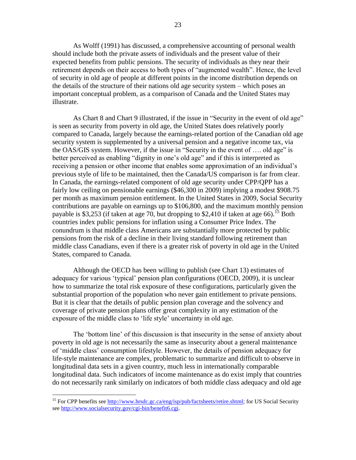As Wolff (1991) has discussed, a comprehensive accounting of personal wealth should include both the private assets of individuals and the present value of their expected benefits from public pensions. The security of individuals as they near their retirement depends on their access to both types of "augmented wealth". Hence, the level of security in old age of people at different points in the income distribution depends on the details of the structure of their nations old age security system – which poses an important conceptual problem, as a comparison of Canada and the United States may illustrate.

As [Chart 8](#page-27-0) and [Chart 9](#page-28-1) illustrated, if the issue in "Security in the event of old age" is seen as security from poverty in old age, the United States does relatively poorly compared to Canada, largely because the earnings-related portion of the Canadian old age security system is supplemented by a universal pension and a negative income tax, via the OAS/GIS system. However, if the issue in "Security in the event of …. old age" is better perceived as enabling "dignity in one"s old age" and if this is interpreted as receiving a pension or other income that enables some approximation of an individual"s previous style of life to be maintained, then the Canada/US comparison is far from clear. In Canada, the earnings-related component of old age security under CPP/QPP has a fairly low ceiling on pensionable earnings (\$46,300 in 2009) implying a modest \$908.75 per month as maximum pension entitlement. In the United States in 2009, Social Security contributions are payable on earnings up to \$106,800, and the maximum monthly pension payable is \$3,253 (if taken at age 70, but dropping to \$2,410 if taken at age 66).<sup>15</sup> Both countries index public pensions for inflation using a Consumer Price Index. The conundrum is that middle class Americans are substantially more protected by public pensions from the risk of a decline in their living standard following retirement than middle class Canadians, even if there is a greater risk of poverty in old age in the United States, compared to Canada.

Although the OECD has been willing to publish (see [Chart 13\)](#page-36-0) estimates of adequacy for various "typical" pension plan configurations (OECD, 2009), it is unclear how to summarize the total risk exposure of these configurations, particularly given the substantial proportion of the population who never gain entitlement to private pensions. But it is clear that the details of public pension plan coverage and the solvency and coverage of private pension plans offer great complexity in any estimation of the exposure of the middle class to 'life style' uncertainty in old age.

The "bottom line" of this discussion is that insecurity in the sense of anxiety about poverty in old age is not necessarily the same as insecurity about a general maintenance of "middle class" consumption lifestyle. However, the details of pension adequacy for life-style maintenance are complex, problematic to summarize and difficult to observe in longitudinal data sets in a given country, much less in internationally comparable longitudinal data. Such indicators of income maintenance as do exist imply that countries do not necessarily rank similarly on indicators of both middle class adequacy and old age

 $\overline{a}$ 

<sup>&</sup>lt;sup>15</sup> For CPP benefits see [http://www.hrsdc.gc.ca/eng/isp/pub/factsheets/retire.shtml;](http://www.hrsdc.gc.ca/eng/isp/pub/factsheets/retire.shtml) for US Social Security see [http://www.socialsecurity.gov/cgi-bin/benefit6.cgi.](http://www.socialsecurity.gov/cgi-bin/benefit6.cgi)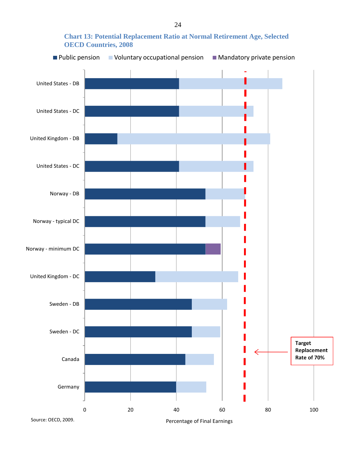### <span id="page-36-0"></span>**Chart 13: Potential Replacement Ratio at Normal Retirement Age, Selected OECD Countries, 2008**

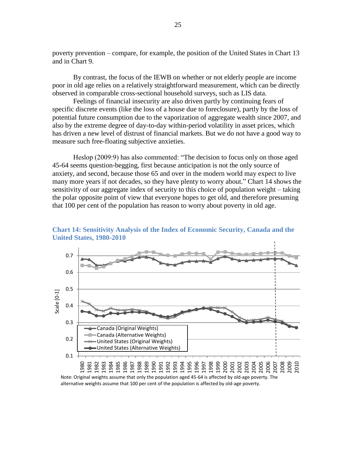poverty prevention – compare, for example, the position of the United States in [Chart 13](#page-36-0) and in [Chart 9.](#page-28-1)

By contrast, the focus of the IEWB on whether or not elderly people are income poor in old age relies on a relatively straightforward measurement, which can be directly observed in comparable cross-sectional household surveys, such as LIS data.

Feelings of financial insecurity are also driven partly by continuing fears of specific discrete events (like the loss of a house due to foreclosure), partly by the loss of potential future consumption due to the vaporization of aggregate wealth since 2007, and also by the extreme degree of day-to-day within-period volatility in asset prices, which has driven a new level of distrust of financial markets. But we do not have a good way to measure such free-floating subjective anxieties.

Heslop (2009:9) has also commented: "The decision to focus only on those aged 45-64 seems question-begging, first because anticipation is not the only source of anxiety, and second, because those 65 and over in the modern world may expect to live many more years if not decades, so they have plenty to worry about." [Chart 14](#page-37-0) shows the sensitivity of our aggregate index of security to this choice of population weight – taking the polar opposite point of view that everyone hopes to get old, and therefore presuming that 100 per cent of the population has reason to worry about poverty in old age.



<span id="page-37-0"></span>**Chart 14: Sensitivity Analysis of the Index of Economic Security, Canada and the United States, 1980-2010**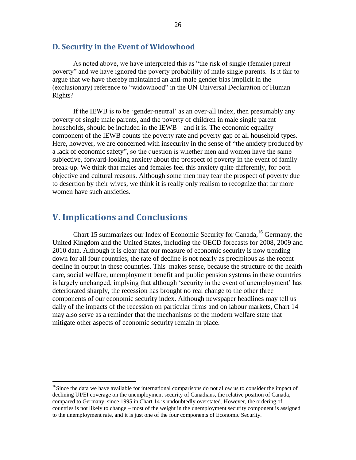### <span id="page-38-0"></span>**D. Security in the Event of Widowhood**

As noted above, we have interpreted this as "the risk of single (female) parent poverty" and we have ignored the poverty probability of male single parents. Is it fair to argue that we have thereby maintained an anti-male gender bias implicit in the (exclusionary) reference to "widowhood" in the UN Universal Declaration of Human Rights?

If the IEWB is to be 'gender-neutral' as an over-all index, then presumably any poverty of single male parents, and the poverty of children in male single parent households, should be included in the IEWB – and it is. The economic equality component of the IEWB counts the poverty rate and poverty gap of all household types. Here, however, we are concerned with insecurity in the sense of "the anxiety produced by a lack of economic safety", so the question is whether men and women have the same subjective, forward-looking anxiety about the prospect of poverty in the event of family break-up. We think that males and females feel this anxiety quite differently, for both objective and cultural reasons. Although some men may fear the prospect of poverty due to desertion by their wives, we think it is really only realism to recognize that far more women have such anxieties.

# <span id="page-38-1"></span>**V. Implications and Conclusions**

 $\overline{a}$ 

[Chart 15](#page-39-0) summarizes our Index of Economic Security for Canada, <sup>16</sup> Germany, the United Kingdom and the United States, including the OECD forecasts for 2008, 2009 and 2010 data. Although it is clear that our measure of economic security is now trending down for all four countries, the rate of decline is not nearly as precipitous as the recent decline in output in these countries. This makes sense, because the structure of the health care, social welfare, unemployment benefit and public pension systems in these countries is largely unchanged, implying that although 'security in the event of unemployment' has deteriorated sharply, the recession has brought no real change to the other three components of our economic security index. Although newspaper headlines may tell us daily of the impacts of the recession on particular firms and on labour markets, Chart 14 may also serve as a reminder that the mechanisms of the modern welfare state that mitigate other aspects of economic security remain in place.

<sup>&</sup>lt;sup>16</sup>Since the data we have available for international comparisons do not allow us to consider the impact of declining UI/EI coverage on the unemployment security of Canadians, the relative position of Canada, compared to Germany, since 1995 in Chart 14 is undoubtedly overstated. However, the ordering of countries is not likely to change – most of the weight in the unemployment security component is assigned to the unemployment rate, and it is just one of the four components of Economic Security.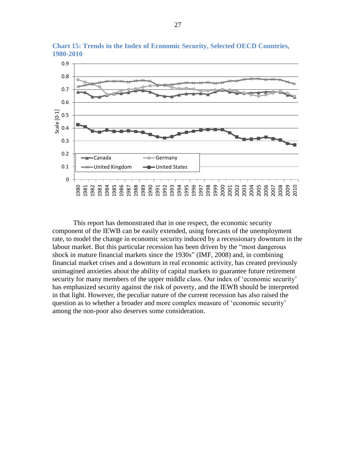

<span id="page-39-0"></span>**Chart 15: Trends in the Index of Economic Security, Selected OECD Countries, 1980-2010**

This report has demonstrated that in one respect, the economic security component of the IEWB can be easily extended, using forecasts of the unemployment rate, to model the change in economic security induced by a recessionary downturn in the labour market. But this particular recession has been driven by the "most dangerous shock in mature financial markets since the 1930s" (IMF, 2008) and, in combining financial market crises and a downturn in real economic activity, has created previously unimagined anxieties about the ability of capital markets to guarantee future retirement security for many members of the upper middle class. Our index of 'economic security' has emphasized security against the risk of poverty, and the IEWB should be interpreted in that light. However, the peculiar nature of the current recession has also raised the question as to whether a broader and more complex measure of "economic security" among the non-poor also deserves some consideration.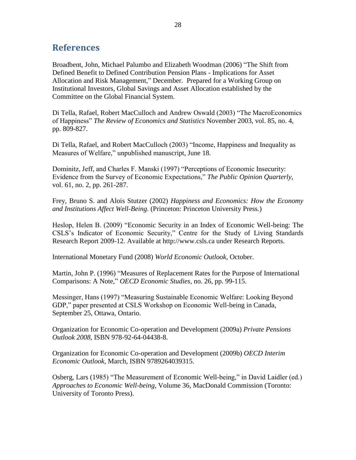# <span id="page-40-0"></span>**References**

Broadbent, John, Michael Palumbo and Elizabeth Woodman (2006) "The Shift from Defined Benefit to Defined Contribution Pension Plans - Implications for Asset Allocation and Risk Management," December. Prepared for a Working Group on Institutional Investors, Global Savings and Asset Allocation established by the Committee on the Global Financial System.

Di Tella, Rafael, Robert MacCulloch and Andrew Oswald (2003) "The MacroEconomics of Happiness" *The Review of Economics and Statistics* November 2003, vol. 85, no. 4, pp. 809-827.

Di Tella, Rafael, and Robert MacCulloch (2003) "Income, Happiness and Inequality as Measures of Welfare," unpublished manuscript, June 18.

Dominitz, Jeff, and Charles F. Manski (1997) "Perceptions of Economic Insecurity: Evidence from the Survey of Economic Expectations," *The Public Opinion Quarterly*, vol. 61, no. 2, pp. 261-287.

Frey, Bruno S. and Alois Stutzer (2002) *Happiness and Economics: How the Economy and Institutions Affect Well-Being*. (Princeton: Princeton University Press.)

Heslop, Helen B. (2009) "Economic Security in an Index of Economic Well-being: The CSLS"s Indicator of Economic Security," Centre for the Study of Living Standards Research Report 2009-12. Available at http://www.csls.ca under Research Reports.

International Monetary Fund (2008) *World Economic Outlook*, October.

Martin, John P. (1996) "Measures of Replacement Rates for the Purpose of International Comparisons: A Note," *OECD Economic Studies*, no. 26, pp. 99-115.

Messinger, Hans (1997) "Measuring Sustainable Economic Welfare: Looking Beyond GDP," paper presented at CSLS Workshop on Economic Well-being in Canada, September 25, Ottawa, Ontario.

Organization for Economic Co-operation and Development (2009a) *Private Pensions Outlook 2008*, ISBN 978-92-64-04438-8.

Organization for Economic Co-operation and Development (2009b) *OECD Interim Economic Outlook*, March, ISBN 9789264039315.

Osberg, Lars (1985) "The Measurement of Economic Well-being," in David Laidler (ed.) *Approaches to Economic Well-being*, Volume 36, MacDonald Commission (Toronto: University of Toronto Press).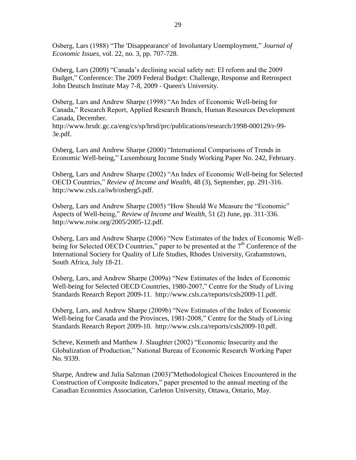Osberg, Lars (1988) "The 'Disappearance' of Involuntary Unemployment," *Journal of Economic Issues*, vol. 22, no. 3, pp. 707-728.

Osberg, Lars (2009) "Canada"s declining social safety net: EI reform and the 2009 Budget," Conference: The 2009 Federal Budget: Challenge, Response and Retrospect John Deutsch Institute May 7-8, 2009 - Queen's University.

Osberg, Lars and Andrew Sharpe (1998) "An Index of Economic Well-being for Canada," Research Report, Applied Research Branch, Human Resources Development Canada, December.

http://www.hrsdc.gc.ca/eng/cs/sp/hrsd/prc/publications/research/1998-000129/r-99- 3e.pdf.

Osberg, Lars and Andrew Sharpe (2000) "International Comparisons of Trends in Economic Well-being," Luxembourg Income Study Working Paper No. 242, February.

Osberg, Lars and Andrew Sharpe (2002) "An Index of Economic Well-being for Selected OECD Countries," *Review of Income and Wealth*, 48 (3), September, pp. 291-316. http://www.csls.ca/iwb/osberg5.pdf.

Osberg, Lars and Andrew Sharpe (2005) "How Should We Measure the "Economic" Aspects of Well-being," *Review of Income and Wealth*, 51 (2) June, pp. 311-336. http://www.roiw.org/2005/2005-12.pdf.

Osberg, Lars and Andrew Sharpe (2006) "New Estimates of the Index of Economic Wellbeing for Selected OECD Countries," paper to be presented at the  $7<sup>th</sup>$  Conference of the International Society for Quality of Life Studies, Rhodes University, Grahamstown, South Africa, July 18-21.

Osberg, Lars, and Andrew Sharpe (2009a) "New Estimates of the Index of Economic Well-being for Selected OECD Countries, 1980-2007," Centre for the Study of Living Standards Reearch Report 2009-11. http://www.csls.ca/reports/csls2009-11.pdf.

Osberg, Lars, and Andrew Sharpe (2009b) "New Estimates of the Index of Economic Well-being for Canada and the Provinces, 1981-2008," Centre for the Study of Living Standards Reearch Report 2009-10. http://www.csls.ca/reports/csls2009-10.pdf.

Scheve, Kenneth and Matthew J. Slaughter (2002) "Economic Insecurity and the Globalization of Production," National Bureau of Economic Research Working Paper No. 9339.

Sharpe, Andrew and Julia Salzman (2003)"Methodological Choices Encountered in the Construction of Composite Indicators," paper presented to the annual meeting of the Canadian Economics Association, Carleton University, Ottawa, Ontario, May.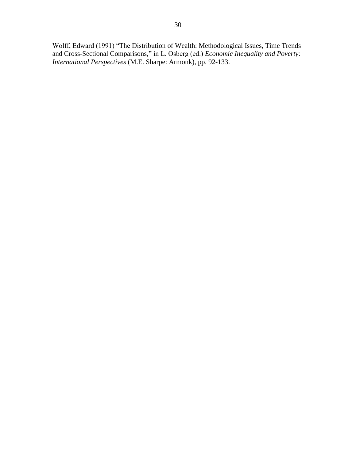Wolff, Edward (1991) "The Distribution of Wealth: Methodological Issues, Time Trends and Cross-Sectional Comparisons," in L. Osberg (ed.) *Economic Inequality and Poverty: International Perspectives* (M.E. Sharpe: Armonk), pp. 92-133.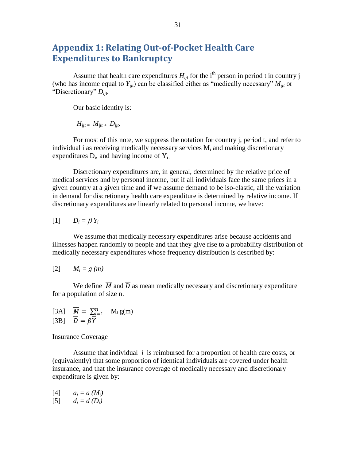# <span id="page-43-0"></span>**Appendix 1: Relating Out-of-Pocket Health Care Expenditures to Bankruptcy**

Assume that health care expenditures  $H_{ijt}$  for the i<sup>th</sup> person in period t in country j (who has income equal to  $Y_{ijt}$ ) can be classified either as "medically necessary"  $M_{ijt}$  or "Discretionary" *Dijt.*

Our basic identity is:

 $H_{ii} = M_{ii} + D_{ii}$ .

For most of this note, we suppress the notation for country j, period t, and refer to individual i as receiving medically necessary services  $M_i$  and making discretionary expenditures  $D_i$ , and having income of  $Y_i$ .

Discretionary expenditures are, in general, determined by the relative price of medical services and by personal income, but if all individuals face the same prices in a given country at a given time and if we assume demand to be iso-elastic, all the variation in demand for discretionary health care expenditure is determined by relative income. If discretionary expenditures are linearly related to personal income, we have:

$$
[1] \qquad D_i = \beta Y_i
$$

We assume that medically necessary expenditures arise because accidents and illnesses happen randomly to people and that they give rise to a probability distribution of medically necessary expenditures whose frequency distribution is described by:

$$
[2] \qquad M_i = g(m)
$$

We define  $\overline{M}$  and  $\overline{D}$  as mean medically necessary and discretionary expenditure for a population of size n.

[3A] 
$$
\overline{M} = \sum_{i=1}^{n} M_i g(m)
$$
  
[3B]  $\overline{D} = \beta \overline{Y}$ 

#### Insurance Coverage

Assume that individual *i* is reimbursed for a proportion of health care costs, or (equivalently) that some proportion of identical individuals are covered under health insurance, and that the insurance coverage of medically necessary and discretionary expenditure is given by:

 $[4]$   $a_i = a(M_i)$ 

 $[5]$  *d<sub>i</sub>* = *d* (*D<sub>i</sub>*)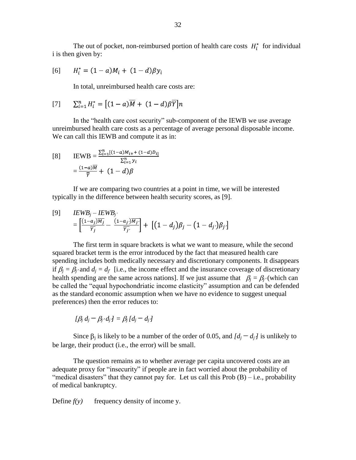The out of pocket, non-reimbursed portion of health care costs  $H_i^*$  for individual i is then given by:

[6] 
$$
H_i^* = (1 - a)M_i + (1 - d)\beta y_i
$$

In total, unreimbursed health care costs are:

$$
[7] \qquad \sum_{i=1}^{n} H_i^* = [(1-a)\overline{M} + (1-d)\beta \overline{Y}]n
$$

In the "health care cost security" sub-component of the IEWB we use average unreimbursed health care costs as a percentage of average personal disposable income. We can call this IEWB and compute it as in:

[8] 
$$
\text{IEWB} = \frac{\sum_{i=1}^{n} [(1-a)M_{i+} + (1-d)D_{i}]}{\sum_{i=1}^{n} y_i}
$$

$$
= \frac{(1-a)\overline{M}}{\overline{Y}} + (1-d)\beta
$$

If we are comparing two countries at a point in time, we will be interested typically in the difference between health security scores, as [9].

$$
\begin{aligned} \text{[9]} \qquad & IEWB_j - IEWB_j\\ &= \left[ \frac{(1-a_j)\overline{M}_j}{\overline{Y}_j} - \frac{(1-a_j)\overline{M}_{j'}}{\overline{Y}_{j'}} \right] + \left[ \left( 1 - d_j \right) \beta_j - \left( 1 - d_j \right) \beta_j \right] \end{aligned}
$$

The first term in square brackets is what we want to measure, while the second squared bracket term is the error introduced by the fact that measured health care spending includes both medically necessary and discretionary components. It disappears if  $\beta_j = \beta_j$  and  $d_j = d_{j'}$  [i.e., the income effect and the insurance coverage of discretionary health spending are the same across nations]. If we just assume that  $\beta_i = \beta_{i'}$  (which can be called the "equal hypochondriatic income elasticity" assumption and can be defended as the standard economic assumption when we have no evidence to suggest unequal preferences) then the error reduces to:

$$
[\beta_j d_j - \beta_{j'} d_j] = \beta_j [d_j - d_j]
$$

Since  $\beta_i$  is likely to be a number of the order of 0.05, and  $\overline{d_i - d_i}$  is unlikely to be large, their product (i.e., the error) will be small.

The question remains as to whether average per capita uncovered costs are an adequate proxy for "insecurity" if people are in fact worried about the probability of "medical disasters" that they cannot pay for. Let us call this  $Prob(B) - i.e., probability$ of medical bankruptcy.

Define  $f(y)$  frequency density of income y.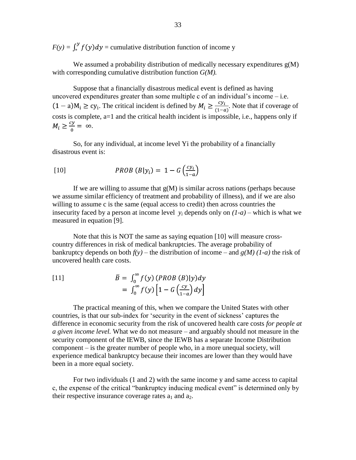$F(y) = \int_0^y f(y) dy$  = cumulative distribution function of income y

We assumed a probability distribution of medically necessary expenditures  $g(M)$ with corresponding cumulative distribution function *G(M).*

Suppose that a financially disastrous medical event is defined as having uncovered expenditures greater than some multiple c of an individual's income  $-$  i.e.  $(1 - a)M_i \ge cy_i$ . The critical incident is defined by  $M_i \ge \frac{cy_i}{(1-a)}$ . Note that if coverage of costs is complete, a=1 and the critical health incident is impossible, i.e., happens only if  $M_i \geq \frac{cy}{0} = \infty$ .

So, for any individual, at income level Yi the probability of a financially disastrous event is:

$$
PROB (B|yi) = 1 - G \left(\frac{cy_i}{1-a}\right)
$$

If we are willing to assume that  $g(M)$  is similar across nations (perhaps because we assume similar efficiency of treatment and probability of illness), and if we are also willing to assume c is the same (equal access to credit) then across countries the insecurity faced by a person at income level  $y_i$  depends only on  $(1-a)$  – which is what we measured in equation [9].

Note that this is NOT the same as saying equation [10] will measure crosscountry differences in risk of medical bankruptcies. The average probability of bankruptcy depends on both  $f(y)$  – the distribution of income – and  $g(M)$  (1-a) the risk of uncovered health care costs.

[11]  

$$
\bar{B} = \int_0^\infty f(y) (PROB (B)|y) dy
$$

$$
= \int_0^\infty f(y) \left[1 - G\left(\frac{cy}{1-a}\right) dy\right]
$$

The practical meaning of this, when we compare the United States with other countries, is that our sub-index for "security in the event of sickness" captures the difference in economic security from the risk of uncovered health care costs *for people at a given income level.* What we do not measure – and arguably should not measure in the security component of the IEWB, since the IEWB has a separate Income Distribution component – is the greater number of people who, in a more unequal society, will experience medical bankruptcy because their incomes are lower than they would have been in a more equal society.

For two individuals (1 and 2) with the same income y and same access to capital c, the expense of the critical "bankruptcy inducing medical event" is determined only by their respective insurance coverage rates  $a_1$  and  $a_2$ .